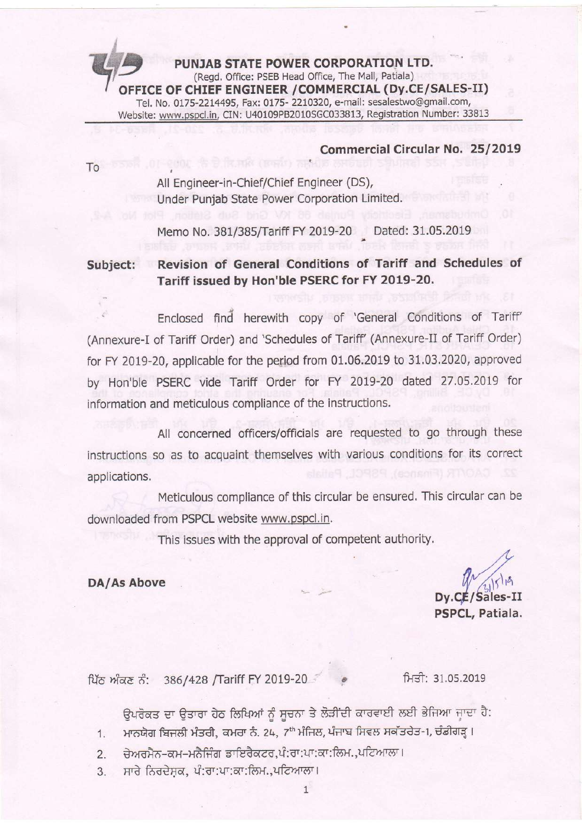s PUNJAB STATE POWER CORPORATION LTD.<br>(Regd. Office: PSEB Head Office, The Mall, Patiala)  $\overline{\phantom{a}}$ (Regd. Office: PSEB Head Office, The Mall, Patiala)<br> **OFFICE OF CHIEF ENGINEER /COMMERCIAL (Dy.CE/SALES-II** Tel. No. 0175-2214495, Fax: 0175- 2210320, e-mail: sesalestwo@gmail.com, Website: www.pspcl.in, CIN: U40109PB2010SGC033813, Registration Number: 33813

#### Commercial Circular No. 25/2019

To

t

All Engineer-in-Chief/Chief Engineer (DS), Under Punjab State Power Corporation Limited.

**K.HK (BRU) GRADE** 

Memo No. 381/385/Tariff FY 2019-20 , Dated: 31.05.20

Subject: Revision of General Conditions of Tariff and Schedules of Tariff issued by Hon'ble PSERC for FY 2019-20.

. Enclosed find' herewith copy of 'General Conditions of Tariff' (Annexure-I of Tariff Order) and 'schedules of Tariff' (Annexure-Il of Tariff Order) for FY 2019-20, applicable for the period from 01.06.2019 to 31.03.2020, approved by Hon'ble PSERC vide Tariff Order for FY 2019-20 dated 27.05.2019 for information and meticulous compliance of the instructions.

All concerned officers/officials are requested to go through these instructions so as to acquaint themselves with various conditions for its correct applications.

Meticulous compliance of this circular be ensured. This circular can be downloaded from PSPCL website www.pspcl,in.

This issues with the approval of competent authority.

DA/As Above

 $Dv$ , $CE/Sa$ PSPCL, Patiala.

ਪਿੱਠ ਅੰਕਣ ਨੰ: 386/428 /Tariff FY 2019-20  $\bullet$  ਸਿਤੀ: 31.05.2019

ਉਪਰੋਕਤ ਦਾ ਉਤਾਰਾ ਹੇਠ ਲਿਖਿਆਂ ਨੂੰ ਸੂਚਨਾ ਤੇ ਲੋੜੀਂਦੀ ਕਾਰਵਾਈ ਲਈ ਭੇਜਿਆ ਜਾਦਾ ਹੈ:

- 1. ਮਾਨਯੋਗ ਬਿਜਲੀ ਮੰਤਰੀ, ਕਮਰਾ ਨੰ. 24, 7<sup>th</sup> ਮੰਜਿਲ, ਪੰਜਾਬ ਸਿਵਲ ਸਕੱਤਰੇਤ-1, ਚੰਡੀਗੜ੍ਹ।
- 2. ਚੇਅਰਮੈਨ-ਕਮ-ਮਨੈਜਿੰਗ ਡਾਇਰੈਕਟਰ,ਪੰ:ਰਾ:ਪਾ:ਕਾ:ਲਿਮ.,ਪਟਿਆਲਾ।
- 3. ਸਾਰੇ ਨਿਰਦੇਸ਼ਕ, ਪੰ:ਰਾ:ਪਾ:ਕਾ:ਲਿਮ.,ਪਟਿਆਲਾ।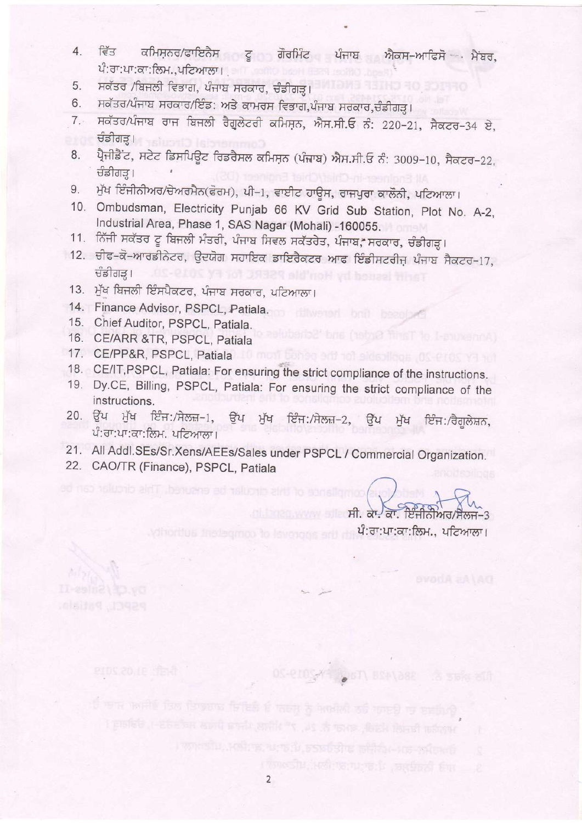- 4. ਵਿੱਤ ਕਮਿਸ਼ਨਰ/ਫਾਇਨੈਸ ਟੂ ਗੋਰਮਿੰਟ ਪੰਜਾਬ ਐਕਸ-ਆਫਿਸੋ ਮੈਂਬਰ, ਪੰ:ਰਾ:ਪਾ:ਕਾ:ਲਿਮ.,ਪਟਿਆਲਾ।
- 5. ਸਕੱਤਰ /ਬਿਜਲੀ ਵਿਭਾਗ, ਪੰਜਾਬ ਸਰਕਾਰ, ਚੰਡੀਗੜ੍ਹ।
- 
- 5. ਸਕੱਤਰ /ਬਿਜਲੀ ਵਿਭਾਗ, ਪੰਜਾਬ ਸਰਕਾਰ, ਚੰਡੀਗੜ੍ਹ।<br>6. ਸਕੱਤਰ/ਪੰਜਾਬ ਸਰਕਾਰ/ਇੰਡ: ਅਤੇ ਕਾਮਰਸ ਵਿਭਾਗ,ਪੰਜਾਬ ਸਰਕਾਰ,ਚੰਡੀਗੜ੍ਹ।<br>7. ਸਕੱਤਰ/ਪੰਜਾਬ ਰਾਜ ਬਿਜਲੀ ਰੈਗੂਲੇਟਰੀ ਕਮਿਸ਼ਨ, ਐਸ.ਸੀ.ਓ ਨੰ: 220−21, ਸੈਕਟਰ−34 ਏ, ਚੰਡੀਗੜ੍ਹ।
- 8. ਪ੍ਰੈਜੀਡੈਂਟ, ਸਟੇਟ ਡਿਸਪਿਊਟ ਰਿਡਰੈਸਲ ਕਮਿਸਨ (ਪੰਜਾਬ) ਐਸ.ਸੀ.ਓ ਨੰ: 3009−10, ਸੈਕਟਰ−22, dfraTg | , ਂ ਚੰਡੀਗੜ੍ਹ।<br>9. ਮੁੱਖ ਇੰਜੀਨੀਅਰ/ਚੇਅਰਮੈਨ(ਫੋਰਮ), ਪੀ−1, ਵਾਈਟ ਹਾਊਸ, ਰਾਜਪੁਰਾ ਕਾਲੌਨੀ, ਪਟਿਆਲਾ।
- 
- 10. ombudsman, Electricity punjab 66 KV Grid sub station, plot No. A-2, Industrial Area, Phase 1, SAS Nagar (Mohali) -160055.
- 11. ਨਿੱਜੀ ਸਕੱਤਰ ਟੂ ਬਿਜਲੀ ਮੰਤਰੀ, ਪੰਜਾਬ ਸਿਵਲ ਸਕੱਤਰੇਤ, ਪੰਜਾਬ, ਸਰਕਾਰ, ਚੰਡੀਗੜ੍ਹ।
- 12. ਚੀਫ-ਕੋ-ਆਰਡੀਨੇਟਰ, ਉਦਯੋਗ ਸਹਾਇਕ ਡਾਇਰੈਕਟਰ ਆਫ ਇੰਡੀਸਟਰੀਜ਼ ਪੰਜਾਬ ਸੈਕਟਰ-17, dalarg I - Jus-2105 ya 101 Juli 29 aid not yd bonesi tine T
- 13. ਮੁੱਖ ਬਿਜਲੀ ਇੰਸਪੈਕਟਰ, ਪੰਜਾਬ ਸਰਕਾਰ, ਪਟਿਆਲਾ।
- 14. Finance Advisor, PSPCL, Patiala.
- 15. Chief Auditor, PSPCL, Patiala.
- 16. CE/ARR &TR, PSPCL, patiata
- 
- 17. CE/PP&R, PSPCL, Patiala<br>18. CE/IT,PSPCL, Patiala: For ensuring the strict compliance of the instructions.
- 19. Dy.CE, Billing, PSPCL, Patiala: For ensuring the strict compliance of the instructions.
- 20. ਉੱਪ ਮੁੱਖ ਇੰਜ∶/ਸੇਲਜ਼−1, ਉੱਪ ਮੁੱਖ ਇੰਜ∶/ਸੇਲਜ਼−2, ਉੱਪ ਮੁੱਖ ਇੰਜ∶/ਰੈਗੂਲੇਸ਼ਨ,  $\hat{u}$ : ਰਾ:ਪਾ:ਕਾ: ਲਿਮ. ਪਟਿਆਲਾ।
- 21' All Addl.SEs/Sr.Xens/AEEs/Sales under PSPCL / Commercial Organization. 22. CAO/TR (Finance), pSpCL, patiala
- 

pspet, patiala

 $\frac{1}{\sqrt{2}}$  and the contract of the set of the set of the set of  $\frac{1}{\sqrt{2}}$ ਼ਾਗੀ ਪਰ ਸਿਰਫ਼ਿਯਾਨ ਹੈ। ਇਸਨਾਰਨ ਵਿੱਚ ਪੰ.ਗ:ਪਾ:ਕਾ:ਲਿਮ., ਪਟਿਆਲਾ।

OS-210 / 67) BRAYABE .8 SMR 801

ਹੀ ਦਾਸ ਸਮਰੀਵੇ ਤਿਲ ਤਿਸਭਗਾਫ਼ ਜ਼ਿਲਿਲੈ ਵੀ ਨਰਸੂ ਨੂੰ ਅਮਰੀਲੀ ਨਹੇ ਸਕਦ**ੁ** ਨਾ ਬਲਗਿ*ਪ*?

worker fanish stadt, woor it. 24, 7" slikes, sheer from network -, Galang I

לה ההאת החלות החלות שיוצרת על מימור ומחלות עולמית האתר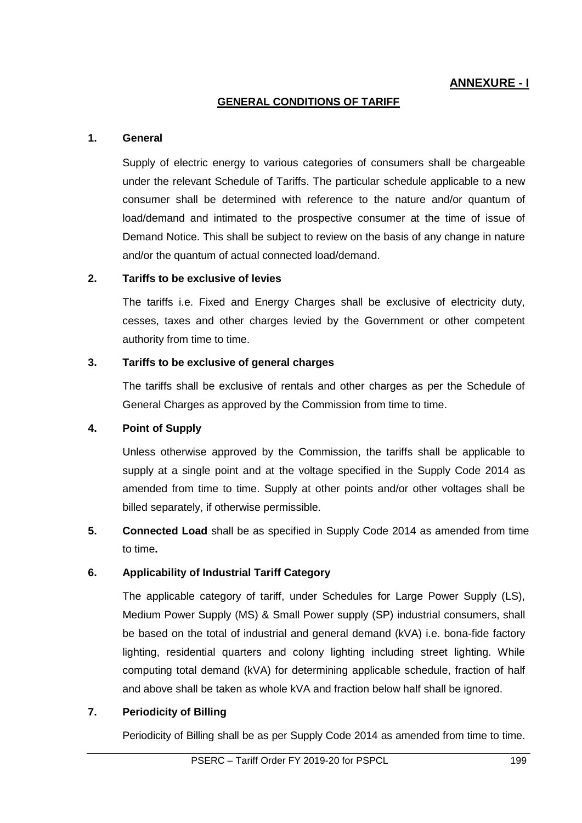# **ANNEXURE - I**

#### **GENERAL CONDITIONS OF TARIFF**

#### **1. General**

Supply of electric energy to various categories of consumers shall be chargeable under the relevant Schedule of Tariffs. The particular schedule applicable to a new consumer shall be determined with reference to the nature and/or quantum of load/demand and intimated to the prospective consumer at the time of issue of Demand Notice. This shall be subject to review on the basis of any change in nature and/or the quantum of actual connected load/demand.

#### **2. Tariffs to be exclusive of levies**

The tariffs i.e. Fixed and Energy Charges shall be exclusive of electricity duty, cesses, taxes and other charges levied by the Government or other competent authority from time to time.

#### **3. Tariffs to be exclusive of general charges**

The tariffs shall be exclusive of rentals and other charges as per the Schedule of General Charges as approved by the Commission from time to time.

### **4. Point of Supply**

Unless otherwise approved by the Commission, the tariffs shall be applicable to supply at a single point and at the voltage specified in the Supply Code 2014 as amended from time to time. Supply at other points and/or other voltages shall be billed separately, if otherwise permissible.

**5. Connected Load** shall be as specified in Supply Code 2014 as amended from time to time**.**

### **6. Applicability of Industrial Tariff Category**

The applicable category of tariff, under Schedules for Large Power Supply (LS), Medium Power Supply (MS) & Small Power supply (SP) industrial consumers, shall be based on the total of industrial and general demand (kVA) i.e. bona-fide factory lighting, residential quarters and colony lighting including street lighting. While computing total demand (kVA) for determining applicable schedule, fraction of half and above shall be taken as whole kVA and fraction below half shall be ignored.

### **7. Periodicity of Billing**

Periodicity of Billing shall be as per Supply Code 2014 as amended from time to time.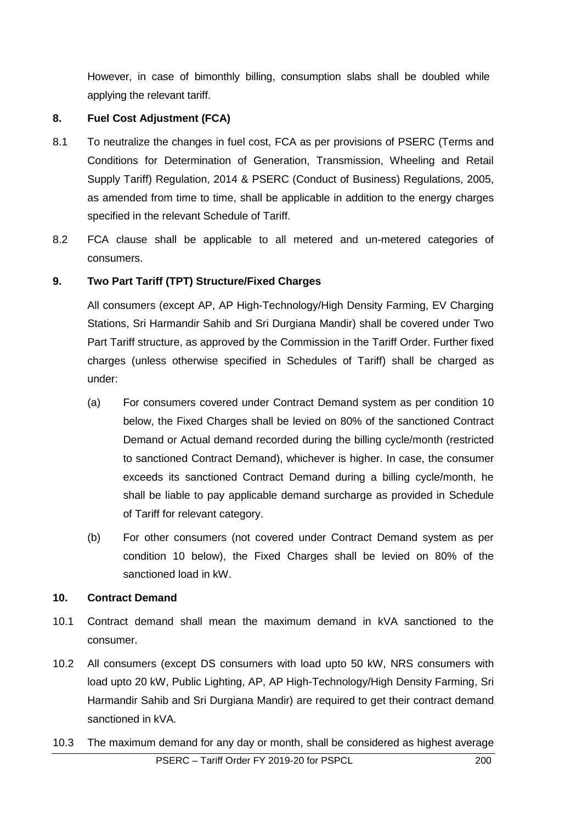However, in case of bimonthly billing, consumption slabs shall be doubled while applying the relevant tariff.

# **8. Fuel Cost Adjustment (FCA)**

- 8.1 To neutralize the changes in fuel cost, FCA as per provisions of PSERC (Terms and Conditions for Determination of Generation, Transmission, Wheeling and Retail Supply Tariff) Regulation, 2014 & PSERC (Conduct of Business) Regulations, 2005, as amended from time to time, shall be applicable in addition to the energy charges specified in the relevant Schedule of Tariff.
- 8.2 FCA clause shall be applicable to all metered and un-metered categories of consumers.

# **9. Two Part Tariff (TPT) Structure/Fixed Charges**

All consumers (except AP, AP High-Technology/High Density Farming, EV Charging Stations, Sri Harmandir Sahib and Sri Durgiana Mandir) shall be covered under Two Part Tariff structure, as approved by the Commission in the Tariff Order. Further fixed charges (unless otherwise specified in Schedules of Tariff) shall be charged as under:

- (a) For consumers covered under Contract Demand system as per condition 10 below, the Fixed Charges shall be levied on 80% of the sanctioned Contract Demand or Actual demand recorded during the billing cycle/month (restricted to sanctioned Contract Demand), whichever is higher. In case, the consumer exceeds its sanctioned Contract Demand during a billing cycle/month, he shall be liable to pay applicable demand surcharge as provided in Schedule of Tariff for relevant category.
- (b) For other consumers (not covered under Contract Demand system as per condition 10 below), the Fixed Charges shall be levied on 80% of the sanctioned load in kW.

### **10. Contract Demand**

- 10.1 Contract demand shall mean the maximum demand in kVA sanctioned to the consumer.
- 10.2 All consumers (except DS consumers with load upto 50 kW, NRS consumers with load upto 20 kW, Public Lighting, AP, AP High-Technology/High Density Farming, Sri Harmandir Sahib and Sri Durgiana Mandir) are required to get their contract demand sanctioned in kVA.
- 10.3 The maximum demand for any day or month, shall be considered as highest average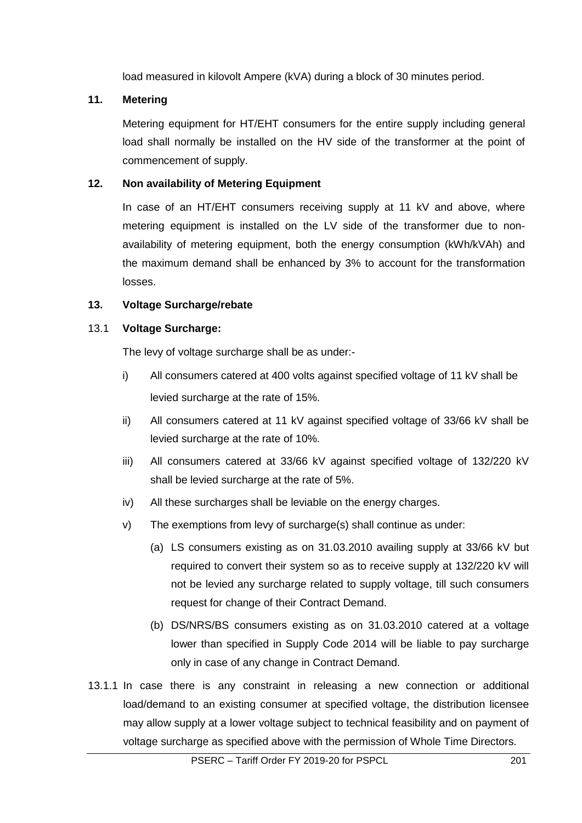load measured in kilovolt Ampere (kVA) during a block of 30 minutes period.

# **11. Metering**

Metering equipment for HT/EHT consumers for the entire supply including general load shall normally be installed on the HV side of the transformer at the point of commencement of supply.

# **12. Non availability of Metering Equipment**

In case of an HT/EHT consumers receiving supply at 11 kV and above, where metering equipment is installed on the LV side of the transformer due to nonavailability of metering equipment, both the energy consumption (kWh/kVAh) and the maximum demand shall be enhanced by 3% to account for the transformation losses.

# **13. Voltage Surcharge/rebate**

# 13.1 **Voltage Surcharge:**

The levy of voltage surcharge shall be as under:-

- i) All consumers catered at 400 volts against specified voltage of 11 kV shall be levied surcharge at the rate of 15%.
- ii) All consumers catered at 11 kV against specified voltage of 33/66 kV shall be levied surcharge at the rate of 10%.
- iii) All consumers catered at 33/66 kV against specified voltage of 132/220 kV shall be levied surcharge at the rate of 5%.
- iv) All these surcharges shall be leviable on the energy charges.
- v) The exemptions from levy of surcharge(s) shall continue as under:
	- (a) LS consumers existing as on 31.03.2010 availing supply at 33/66 kV but required to convert their system so as to receive supply at 132/220 kV will not be levied any surcharge related to supply voltage, till such consumers request for change of their Contract Demand.
	- (b) DS/NRS/BS consumers existing as on 31.03.2010 catered at a voltage lower than specified in Supply Code 2014 will be liable to pay surcharge only in case of any change in Contract Demand.
- 13.1.1 In case there is any constraint in releasing a new connection or additional load/demand to an existing consumer at specified voltage, the distribution licensee may allow supply at a lower voltage subject to technical feasibility and on payment of voltage surcharge as specified above with the permission of Whole Time Directors.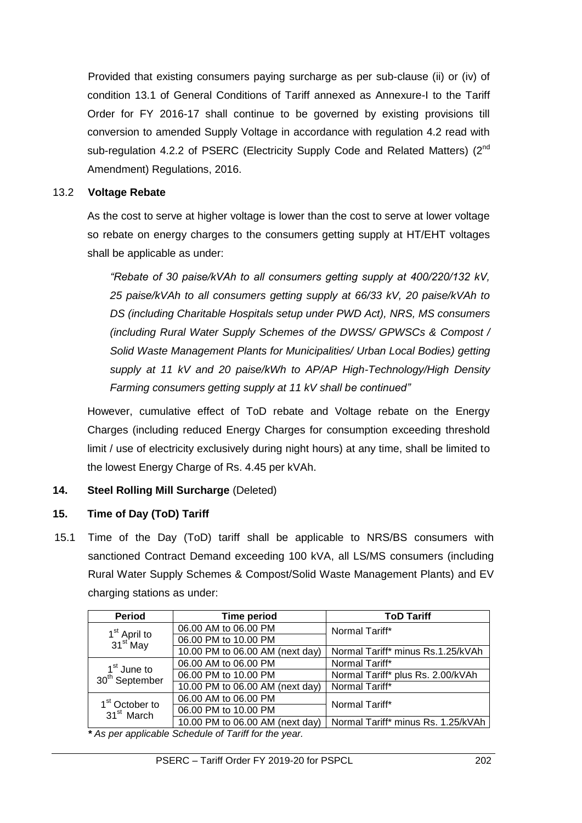Provided that existing consumers paying surcharge as per sub-clause (ii) or (iv) of condition 13.1 of General Conditions of Tariff annexed as Annexure-I to the Tariff Order for FY 2016-17 shall continue to be governed by existing provisions till conversion to amended Supply Voltage in accordance with regulation 4.2 read with sub-regulation 4.2.2 of PSERC (Electricity Supply Code and Related Matters) (2<sup>nd</sup> Amendment) Regulations, 2016.

### 13.2 **Voltage Rebate**

As the cost to serve at higher voltage is lower than the cost to serve at lower voltage so rebate on energy charges to the consumers getting supply at HT/EHT voltages shall be applicable as under:

*"Rebate of 30 paise/kVAh to all consumers getting supply at 400/220/132 kV, 25 paise/kVAh to all consumers getting supply at 66/33 kV, 20 paise/kVAh to DS (including Charitable Hospitals setup under PWD Act), NRS, MS consumers (including Rural Water Supply Schemes of the DWSS/ GPWSCs & Compost / Solid Waste Management Plants for Municipalities/ Urban Local Bodies) getting supply at 11 kV and 20 paise/kWh to AP/AP High-Technology/High Density Farming consumers getting supply at 11 kV shall be continued"* 

However, cumulative effect of ToD rebate and Voltage rebate on the Energy Charges (including reduced Energy Charges for consumption exceeding threshold limit / use of electricity exclusively during night hours) at any time, shall be limited to the lowest Energy Charge of Rs. 4.45 per kVAh.

### **14. Steel Rolling Mill Surcharge** (Deleted)

### **15. Time of Day (ToD) Tariff**

15.1 Time of the Day (ToD) tariff shall be applicable to NRS/BS consumers with sanctioned Contract Demand exceeding 100 kVA, all LS/MS consumers (including Rural Water Supply Schemes & Compost/Solid Waste Management Plants) and EV charging stations as under:

| <b>Period</b>                                         | Time period                     | <b>ToD Tariff</b>                  |
|-------------------------------------------------------|---------------------------------|------------------------------------|
|                                                       | 06.00 AM to 06.00 PM            | Normal Tariff*                     |
| 1 <sup>st</sup> April to<br>31 <sup>st</sup> May      | 06.00 PM to 10.00 PM            |                                    |
|                                                       | 10.00 PM to 06.00 AM (next day) | Normal Tariff* minus Rs.1.25/kVAh  |
|                                                       | 06.00 AM to 06.00 PM            | Normal Tariff*                     |
| 1 <sup>st</sup> June to<br>30 <sup>th</sup> September | 06.00 PM to 10.00 PM            | Normal Tariff* plus Rs. 2.00/kVAh  |
|                                                       | 10.00 PM to 06.00 AM (next day) | Normal Tariff*                     |
| 1 <sup>st</sup> October to                            | 06.00 AM to 06.00 PM            | Normal Tariff*                     |
| 31 <sup>st</sup> March                                | 06.00 PM to 10.00 PM            |                                    |
|                                                       | 10.00 PM to 06.00 AM (next day) | Normal Tariff* minus Rs. 1.25/kVAh |

*\* As per applicable Schedule of Tariff for the year.*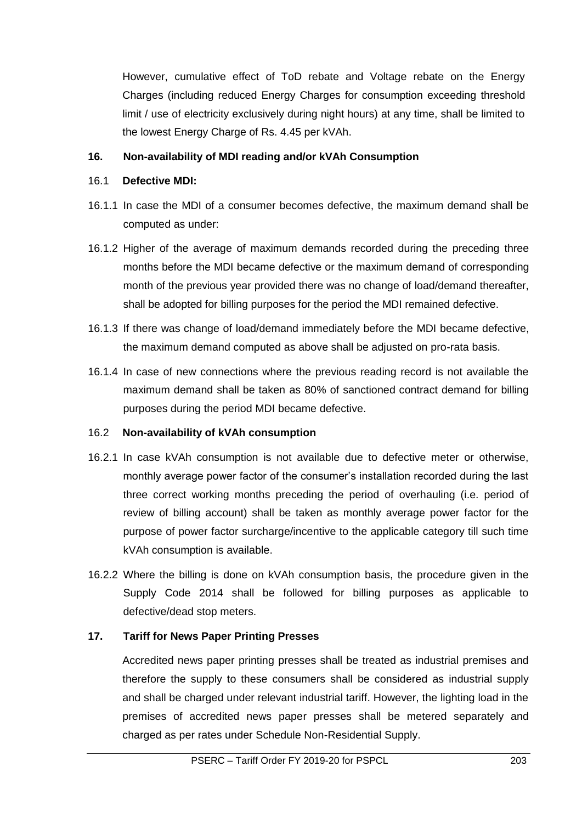However, cumulative effect of ToD rebate and Voltage rebate on the Energy Charges (including reduced Energy Charges for consumption exceeding threshold limit / use of electricity exclusively during night hours) at any time, shall be limited to the lowest Energy Charge of Rs. 4.45 per kVAh.

# **16. Non-availability of MDI reading and/or kVAh Consumption**

### 16.1 **Defective MDI:**

- 16.1.1 In case the MDI of a consumer becomes defective, the maximum demand shall be computed as under:
- 16.1.2 Higher of the average of maximum demands recorded during the preceding three months before the MDI became defective or the maximum demand of corresponding month of the previous year provided there was no change of load/demand thereafter, shall be adopted for billing purposes for the period the MDI remained defective.
- 16.1.3 If there was change of load/demand immediately before the MDI became defective, the maximum demand computed as above shall be adjusted on pro-rata basis.
- 16.1.4 In case of new connections where the previous reading record is not available the maximum demand shall be taken as 80% of sanctioned contract demand for billing purposes during the period MDI became defective.

### 16.2 **Non-availability of kVAh consumption**

- 16.2.1 In case kVAh consumption is not available due to defective meter or otherwise, monthly average power factor of the consumer's installation recorded during the last three correct working months preceding the period of overhauling (i.e. period of review of billing account) shall be taken as monthly average power factor for the purpose of power factor surcharge/incentive to the applicable category till such time kVAh consumption is available.
- 16.2.2 Where the billing is done on kVAh consumption basis, the procedure given in the Supply Code 2014 shall be followed for billing purposes as applicable to defective/dead stop meters.

### **17. Tariff for News Paper Printing Presses**

Accredited news paper printing presses shall be treated as industrial premises and therefore the supply to these consumers shall be considered as industrial supply and shall be charged under relevant industrial tariff. However, the lighting load in the premises of accredited news paper presses shall be metered separately and charged as per rates under Schedule Non-Residential Supply.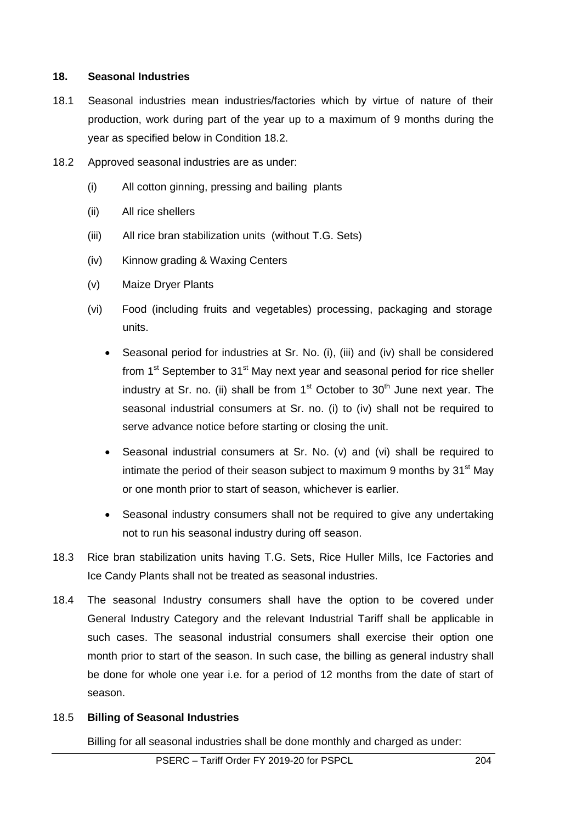#### **18. Seasonal Industries**

- 18.1 Seasonal industries mean industries/factories which by virtue of nature of their production, work during part of the year up to a maximum of 9 months during the year as specified below in Condition 18.2.
- 18.2 Approved seasonal industries are as under:
	- (i) All cotton ginning, pressing and bailing plants
	- (ii) All rice shellers
	- (iii) All rice bran stabilization units (without T.G. Sets)
	- (iv) Kinnow grading & Waxing Centers
	- (v) Maize Dryer Plants
	- (vi) Food (including fruits and vegetables) processing, packaging and storage units.
		- Seasonal period for industries at Sr. No. (i), (iii) and (iv) shall be considered from 1<sup>st</sup> September to 31<sup>st</sup> May next year and seasonal period for rice sheller industry at Sr. no. (ii) shall be from  $1<sup>st</sup>$  October to  $30<sup>th</sup>$  June next year. The seasonal industrial consumers at Sr. no. (i) to (iv) shall not be required to serve advance notice before starting or closing the unit.
		- Seasonal industrial consumers at Sr. No. (v) and (vi) shall be required to intimate the period of their season subject to maximum 9 months by  $31<sup>st</sup>$  May or one month prior to start of season, whichever is earlier.
		- Seasonal industry consumers shall not be required to give any undertaking not to run his seasonal industry during off season.
- 18.3 Rice bran stabilization units having T.G. Sets, Rice Huller Mills, Ice Factories and Ice Candy Plants shall not be treated as seasonal industries.
- 18.4 The seasonal Industry consumers shall have the option to be covered under General Industry Category and the relevant Industrial Tariff shall be applicable in such cases. The seasonal industrial consumers shall exercise their option one month prior to start of the season. In such case, the billing as general industry shall be done for whole one year i.e. for a period of 12 months from the date of start of season.

#### 18.5 **Billing of Seasonal Industries**

Billing for all seasonal industries shall be done monthly and charged as under: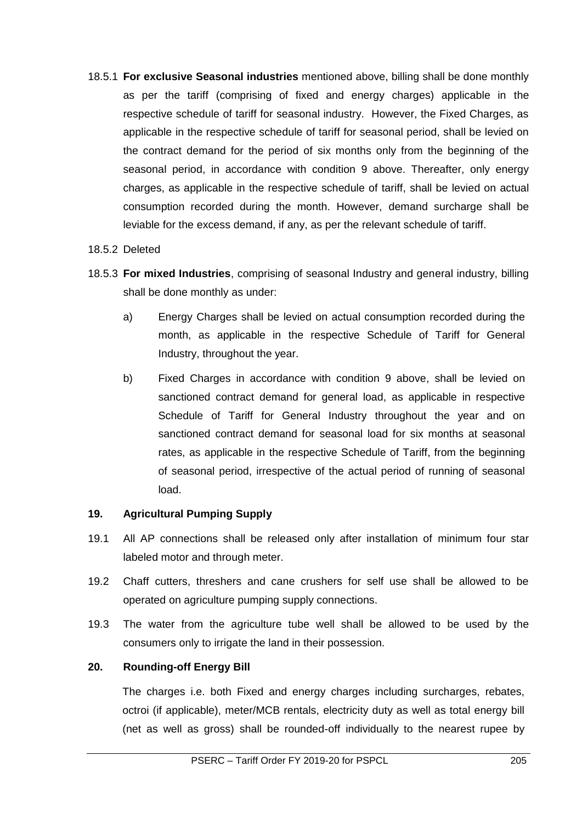18.5.1 **For exclusive Seasonal industries** mentioned above, billing shall be done monthly as per the tariff (comprising of fixed and energy charges) applicable in the respective schedule of tariff for seasonal industry. However, the Fixed Charges, as applicable in the respective schedule of tariff for seasonal period, shall be levied on the contract demand for the period of six months only from the beginning of the seasonal period, in accordance with condition 9 above. Thereafter, only energy charges, as applicable in the respective schedule of tariff, shall be levied on actual consumption recorded during the month. However, demand surcharge shall be leviable for the excess demand, if any, as per the relevant schedule of tariff.

#### 18.5.2 Deleted

- 18.5.3 **For mixed Industries**, comprising of seasonal Industry and general industry, billing shall be done monthly as under:
	- a) Energy Charges shall be levied on actual consumption recorded during the month, as applicable in the respective Schedule of Tariff for General Industry, throughout the year.
	- b) Fixed Charges in accordance with condition 9 above, shall be levied on sanctioned contract demand for general load, as applicable in respective Schedule of Tariff for General Industry throughout the year and on sanctioned contract demand for seasonal load for six months at seasonal rates, as applicable in the respective Schedule of Tariff, from the beginning of seasonal period, irrespective of the actual period of running of seasonal load.

### **19. Agricultural Pumping Supply**

- 19.1 All AP connections shall be released only after installation of minimum four star labeled motor and through meter.
- 19.2 Chaff cutters, threshers and cane crushers for self use shall be allowed to be operated on agriculture pumping supply connections.
- 19.3 The water from the agriculture tube well shall be allowed to be used by the consumers only to irrigate the land in their possession.

### **20. Rounding-off Energy Bill**

The charges i.e. both Fixed and energy charges including surcharges, rebates, octroi (if applicable), meter/MCB rentals, electricity duty as well as total energy bill (net as well as gross) shall be rounded-off individually to the nearest rupee by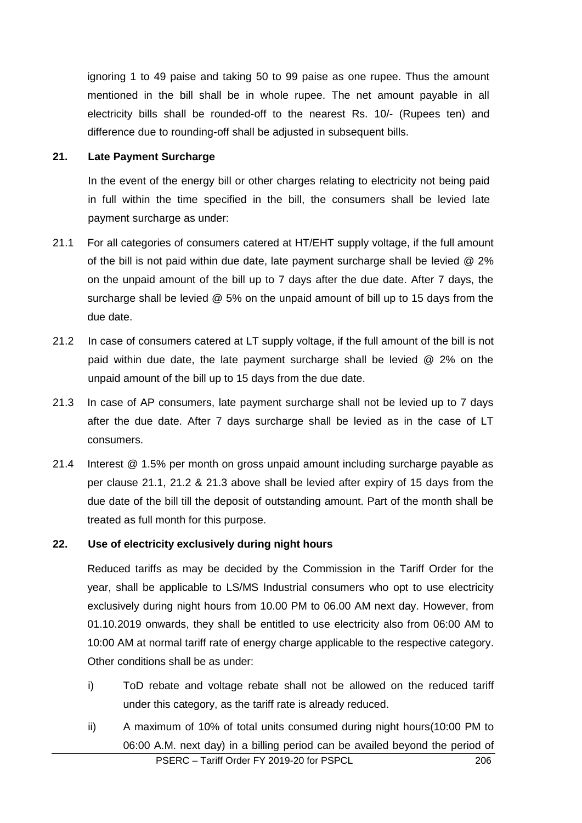ignoring 1 to 49 paise and taking 50 to 99 paise as one rupee. Thus the amount mentioned in the bill shall be in whole rupee. The net amount payable in all electricity bills shall be rounded-off to the nearest Rs. 10/- (Rupees ten) and difference due to rounding-off shall be adjusted in subsequent bills.

#### **21. Late Payment Surcharge**

In the event of the energy bill or other charges relating to electricity not being paid in full within the time specified in the bill, the consumers shall be levied late payment surcharge as under:

- 21.1 For all categories of consumers catered at HT/EHT supply voltage, if the full amount of the bill is not paid within due date, late payment surcharge shall be levied @ 2% on the unpaid amount of the bill up to 7 days after the due date. After 7 days, the surcharge shall be levied @ 5% on the unpaid amount of bill up to 15 days from the due date.
- 21.2 In case of consumers catered at LT supply voltage, if the full amount of the bill is not paid within due date, the late payment surcharge shall be levied @ 2% on the unpaid amount of the bill up to 15 days from the due date.
- 21.3 In case of AP consumers, late payment surcharge shall not be levied up to 7 days after the due date. After 7 days surcharge shall be levied as in the case of LT consumers.
- 21.4 Interest @ 1.5% per month on gross unpaid amount including surcharge payable as per clause 21.1, 21.2 & 21.3 above shall be levied after expiry of 15 days from the due date of the bill till the deposit of outstanding amount. Part of the month shall be treated as full month for this purpose.

#### **22. Use of electricity exclusively during night hours**

Reduced tariffs as may be decided by the Commission in the Tariff Order for the year, shall be applicable to LS/MS Industrial consumers who opt to use electricity exclusively during night hours from 10.00 PM to 06.00 AM next day. However, from 01.10.2019 onwards, they shall be entitled to use electricity also from 06:00 AM to 10:00 AM at normal tariff rate of energy charge applicable to the respective category. Other conditions shall be as under:

- i) ToD rebate and voltage rebate shall not be allowed on the reduced tariff under this category, as the tariff rate is already reduced.
- PSERC Tariff Order FY 2019-20 for PSPCL 206 ii) A maximum of 10% of total units consumed during night hours(10:00 PM to 06:00 A.M. next day) in a billing period can be availed beyond the period of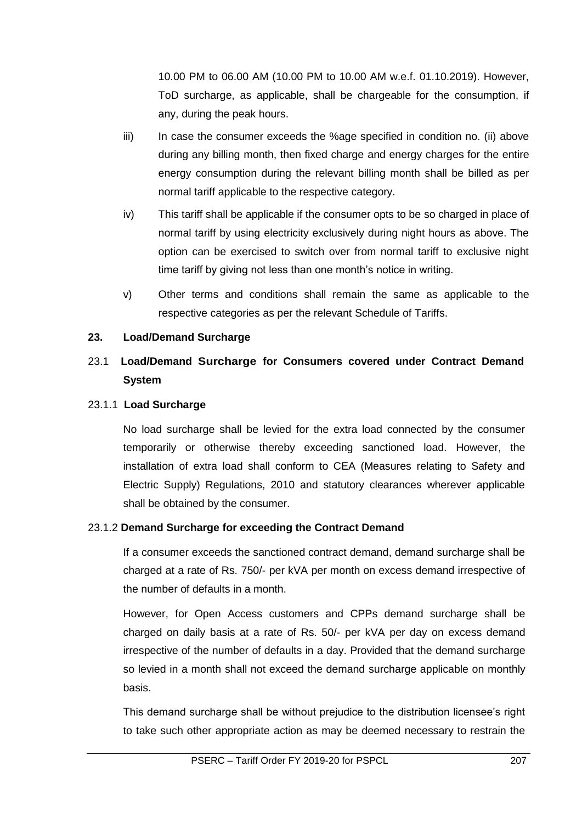10.00 PM to 06.00 AM (10.00 PM to 10.00 AM w.e.f. 01.10.2019). However, ToD surcharge, as applicable, shall be chargeable for the consumption, if any, during the peak hours.

- iii) In case the consumer exceeds the %age specified in condition no. (ii) above during any billing month, then fixed charge and energy charges for the entire energy consumption during the relevant billing month shall be billed as per normal tariff applicable to the respective category.
- iv) This tariff shall be applicable if the consumer opts to be so charged in place of normal tariff by using electricity exclusively during night hours as above. The option can be exercised to switch over from normal tariff to exclusive night time tariff by giving not less than one month's notice in writing.
- v) Other terms and conditions shall remain the same as applicable to the respective categories as per the relevant Schedule of Tariffs.

# **23. Load/Demand Surcharge**

# 23.1 **Load/Demand Surcharge for Consumers covered under Contract Demand System**

### 23.1.1 **Load Surcharge**

No load surcharge shall be levied for the extra load connected by the consumer temporarily or otherwise thereby exceeding sanctioned load. However, the installation of extra load shall conform to CEA (Measures relating to Safety and Electric Supply) Regulations, 2010 and statutory clearances wherever applicable shall be obtained by the consumer.

### 23.1.2 **Demand Surcharge for exceeding the Contract Demand**

If a consumer exceeds the sanctioned contract demand, demand surcharge shall be charged at a rate of Rs. 750/- per kVA per month on excess demand irrespective of the number of defaults in a month.

However, for Open Access customers and CPPs demand surcharge shall be charged on daily basis at a rate of Rs. 50/- per kVA per day on excess demand irrespective of the number of defaults in a day. Provided that the demand surcharge so levied in a month shall not exceed the demand surcharge applicable on monthly basis.

This demand surcharge shall be without prejudice to the distribution licensee's right to take such other appropriate action as may be deemed necessary to restrain the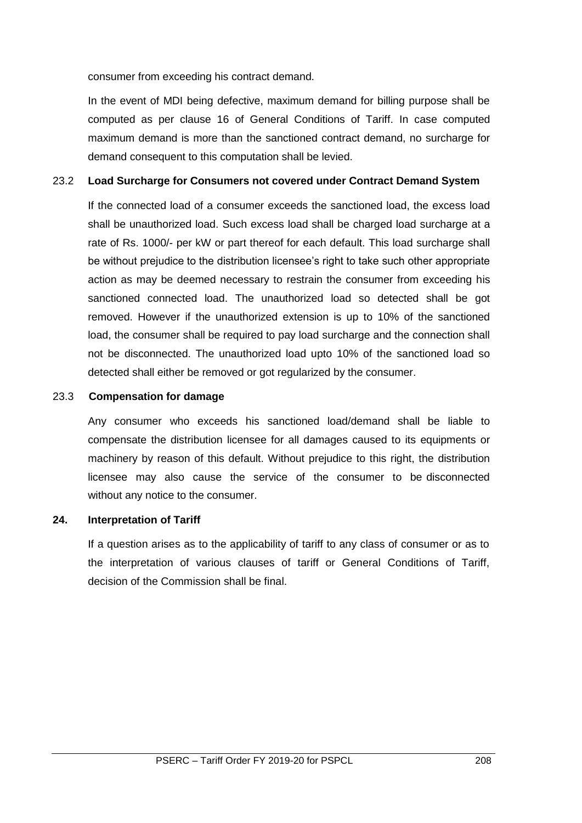consumer from exceeding his contract demand.

In the event of MDI being defective, maximum demand for billing purpose shall be computed as per clause 16 of General Conditions of Tariff. In case computed maximum demand is more than the sanctioned contract demand, no surcharge for demand consequent to this computation shall be levied.

#### 23.2 **Load Surcharge for Consumers not covered under Contract Demand System**

If the connected load of a consumer exceeds the sanctioned load, the excess load shall be unauthorized load. Such excess load shall be charged load surcharge at a rate of Rs. 1000/- per kW or part thereof for each default. This load surcharge shall be without prejudice to the distribution licensee's right to take such other appropriate action as may be deemed necessary to restrain the consumer from exceeding his sanctioned connected load. The unauthorized load so detected shall be got removed. However if the unauthorized extension is up to 10% of the sanctioned load, the consumer shall be required to pay load surcharge and the connection shall not be disconnected. The unauthorized load upto 10% of the sanctioned load so detected shall either be removed or got regularized by the consumer.

#### 23.3 **Compensation for damage**

Any consumer who exceeds his sanctioned load/demand shall be liable to compensate the distribution licensee for all damages caused to its equipments or machinery by reason of this default. Without prejudice to this right, the distribution licensee may also cause the service of the consumer to be disconnected without any notice to the consumer.

#### **24. Interpretation of Tariff**

If a question arises as to the applicability of tariff to any class of consumer or as to the interpretation of various clauses of tariff or General Conditions of Tariff, decision of the Commission shall be final.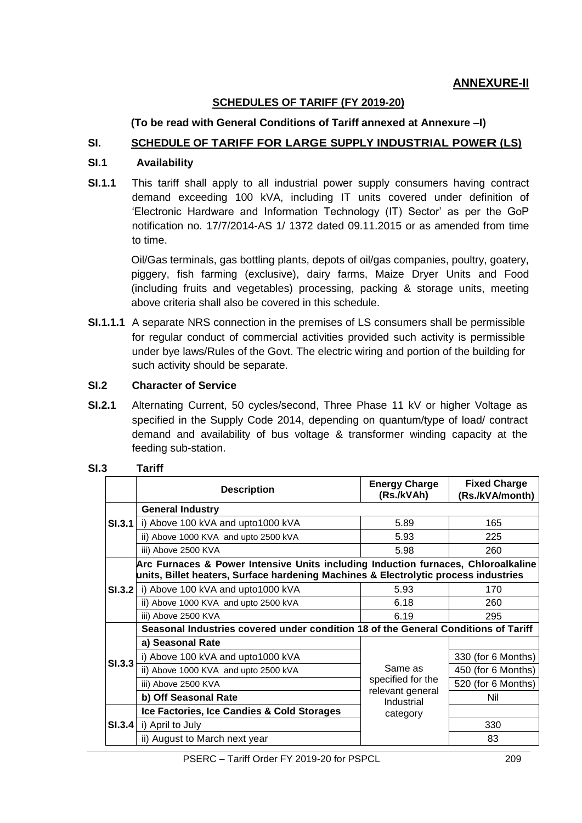#### **SCHEDULES OF TARIFF (FY 2019-20)**

#### **(To be read with General Conditions of Tariff annexed at Annexure –I)**

#### **SI. SCHEDULE OF TARIFF FOR LARGE SUPPLY INDUSTRIAL POWER (LS)**

#### **SI.1 Availability**

**SI.1.1** This tariff shall apply to all industrial power supply consumers having contract demand exceeding 100 kVA, including IT units covered under definition of 'Electronic Hardware and Information Technology (IT) Sector' as per the GoP notification no. 17/7/2014-AS 1/ 1372 dated 09.11.2015 or as amended from time to time.

 Oil/Gas terminals, gas bottling plants, depots of oil/gas companies, poultry, goatery, piggery, fish farming (exclusive), dairy farms, Maize Dryer Units and Food (including fruits and vegetables) processing, packing & storage units, meeting above criteria shall also be covered in this schedule.

**SI.1.1.1** A separate NRS connection in the premises of LS consumers shall be permissible for regular conduct of commercial activities provided such activity is permissible under bye laws/Rules of the Govt. The electric wiring and portion of the building for such activity should be separate.

#### **SI.2 Character of Service**

**SI.2.1** Alternating Current, 50 cycles/second, Three Phase 11 kV or higher Voltage as specified in the Supply Code 2014, depending on quantum/type of load/ contract demand and availability of bus voltage & transformer winding capacity at the feeding sub-station.

|               | <b>Description</b>                                                                                                                                                       | <b>Energy Charge</b><br>(Rs./kVAh)         | <b>Fixed Charge</b><br>(Rs./kVA/month) |
|---------------|--------------------------------------------------------------------------------------------------------------------------------------------------------------------------|--------------------------------------------|----------------------------------------|
|               | <b>General Industry</b>                                                                                                                                                  |                                            |                                        |
| <b>SI.3.1</b> | i) Above 100 kVA and upto1000 kVA                                                                                                                                        | 5.89                                       | 165                                    |
|               | ii) Above 1000 KVA and upto 2500 kVA                                                                                                                                     | 5.93                                       | 225                                    |
|               | iii) Above 2500 KVA                                                                                                                                                      | 5.98                                       | 260                                    |
|               | Arc Furnaces & Power Intensive Units including Induction furnaces, Chloroalkaline<br>units, Billet heaters, Surface hardening Machines & Electrolytic process industries |                                            |                                        |
| SI.3.2        | i) Above 100 kVA and upto1000 kVA                                                                                                                                        | 5.93                                       | 170                                    |
|               | ii) Above 1000 KVA and upto 2500 kVA                                                                                                                                     | 6.18                                       | 260                                    |
|               | iii) Above 2500 KVA                                                                                                                                                      | 6.19                                       | 295                                    |
|               | Seasonal Industries covered under condition 18 of the General Conditions of Tariff                                                                                       |                                            |                                        |
|               | a) Seasonal Rate                                                                                                                                                         | Same as                                    |                                        |
| <b>SI.3.3</b> | i) Above 100 kVA and upto1000 kVA                                                                                                                                        |                                            | 330 (for 6 Months)                     |
|               | ii) Above 1000 KVA and upto 2500 kVA                                                                                                                                     |                                            | 450 (for 6 Months)                     |
|               | iii) Above 2500 KVA                                                                                                                                                      | specified for the                          | 520 (for 6 Months)                     |
|               | b) Off Seasonal Rate                                                                                                                                                     | relevant general<br>Industrial<br>category | Nil                                    |
|               | Ice Factories, Ice Candies & Cold Storages                                                                                                                               |                                            |                                        |
| <b>SI.3.4</b> | i) April to July                                                                                                                                                         |                                            | 330                                    |
|               | ii) August to March next year                                                                                                                                            |                                            | 83                                     |

#### **SI.3 Tariff**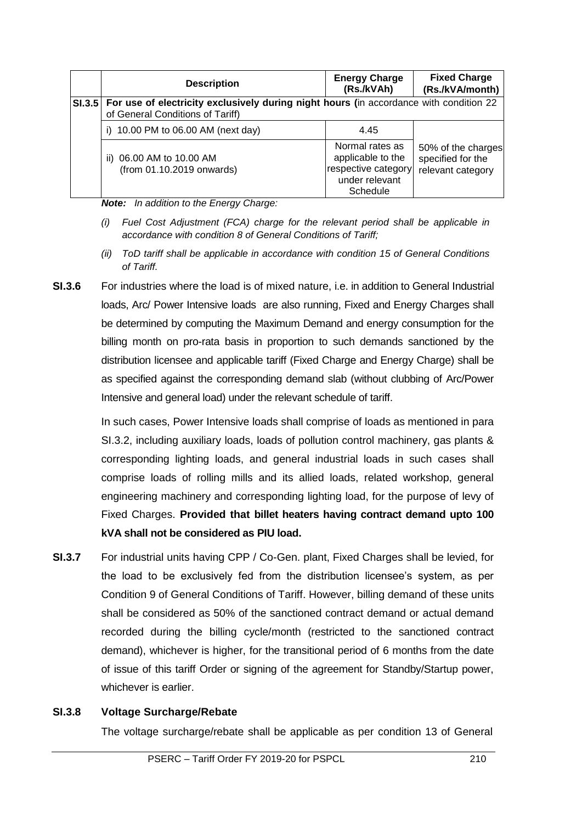| <b>Description</b>                                                                                                                | <b>Energy Charge</b><br>(Rs./kVAh)                                                        | <b>Fixed Charge</b><br>(Rs./kVA/month)                       |
|-----------------------------------------------------------------------------------------------------------------------------------|-------------------------------------------------------------------------------------------|--------------------------------------------------------------|
| SI.3.5 For use of electricity exclusively during night hours (in accordance with condition 22<br>of General Conditions of Tariff) |                                                                                           |                                                              |
| 10.00 PM to 06.00 AM (next day)<br>i)                                                                                             | 4.45                                                                                      |                                                              |
| ii) 06.00 AM to 10.00 AM<br>(from 01.10.2019 onwards)                                                                             | Normal rates as<br>applicable to the<br>respective category<br>under relevant<br>Schedule | 50% of the charges<br>specified for the<br>relevant category |

*Note: In addition to the Energy Charge:*

- *(i) Fuel Cost Adjustment (FCA) charge for the relevant period shall be applicable in accordance with condition 8 of General Conditions of Tariff;*
- *(ii) ToD tariff shall be applicable in accordance with condition 15 of General Conditions of Tariff.*
- **SI.3.6** For industries where the load is of mixed nature, i.e. in addition to General Industrial loads, Arc/ Power Intensive loads are also running, Fixed and Energy Charges shall be determined by computing the Maximum Demand and energy consumption for the billing month on pro-rata basis in proportion to such demands sanctioned by the distribution licensee and applicable tariff (Fixed Charge and Energy Charge) shall be as specified against the corresponding demand slab (without clubbing of Arc/Power Intensive and general load) under the relevant schedule of tariff.

In such cases, Power Intensive loads shall comprise of loads as mentioned in para SI.3.2, including auxiliary loads, loads of pollution control machinery, gas plants & corresponding lighting loads, and general industrial loads in such cases shall comprise loads of rolling mills and its allied loads, related workshop, general engineering machinery and corresponding lighting load, for the purpose of levy of Fixed Charges. **Provided that billet heaters having contract demand upto 100 kVA shall not be considered as PIU load.**

**SI.3.7** For industrial units having CPP / Co-Gen. plant, Fixed Charges shall be levied, for the load to be exclusively fed from the distribution licensee's system, as per Condition 9 of General Conditions of Tariff. However, billing demand of these units shall be considered as 50% of the sanctioned contract demand or actual demand recorded during the billing cycle/month (restricted to the sanctioned contract demand), whichever is higher, for the transitional period of 6 months from the date of issue of this tariff Order or signing of the agreement for Standby/Startup power, whichever is earlier.

### **SI.3.8 Voltage Surcharge/Rebate**

The voltage surcharge/rebate shall be applicable as per condition 13 of General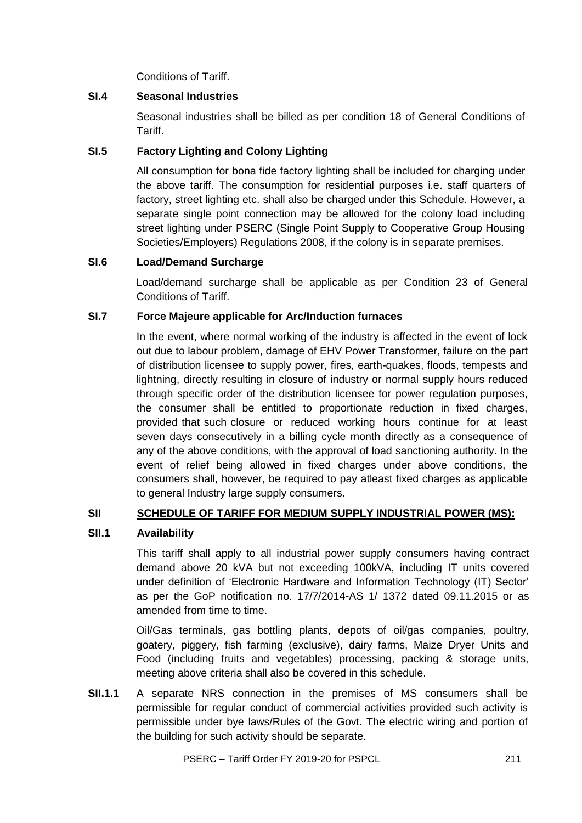Conditions of Tariff.

# **SI.4 Seasonal Industries**

Seasonal industries shall be billed as per condition 18 of General Conditions of Tariff.

# **SI.5 Factory Lighting and Colony Lighting**

All consumption for bona fide factory lighting shall be included for charging under the above tariff. The consumption for residential purposes i.e. staff quarters of factory, street lighting etc. shall also be charged under this Schedule. However, a separate single point connection may be allowed for the colony load including street lighting under PSERC (Single Point Supply to Cooperative Group Housing Societies/Employers) Regulations 2008, if the colony is in separate premises.

### **SI.6 Load/Demand Surcharge**

Load/demand surcharge shall be applicable as per Condition 23 of General Conditions of Tariff.

### **SI.7 Force Majeure applicable for Arc/Induction furnaces**

In the event, where normal working of the industry is affected in the event of lock out due to labour problem, damage of EHV Power Transformer, failure on the part of distribution licensee to supply power, fires, earth-quakes, floods, tempests and lightning, directly resulting in closure of industry or normal supply hours reduced through specific order of the distribution licensee for power regulation purposes, the consumer shall be entitled to proportionate reduction in fixed charges, provided that such closure or reduced working hours continue for at least seven days consecutively in a billing cycle month directly as a consequence of any of the above conditions, with the approval of load sanctioning authority. In the event of relief being allowed in fixed charges under above conditions, the consumers shall, however, be required to pay atleast fixed charges as applicable to general Industry large supply consumers.

### **SII SCHEDULE OF TARIFF FOR MEDIUM SUPPLY INDUSTRIAL POWER (MS):**

### **SII.1 Availability**

This tariff shall apply to all industrial power supply consumers having contract demand above 20 kVA but not exceeding 100kVA, including IT units covered under definition of 'Electronic Hardware and Information Technology (IT) Sector' as per the GoP notification no. 17/7/2014-AS 1/ 1372 dated 09.11.2015 or as amended from time to time.

Oil/Gas terminals, gas bottling plants, depots of oil/gas companies, poultry, goatery, piggery, fish farming (exclusive), dairy farms, Maize Dryer Units and Food (including fruits and vegetables) processing, packing & storage units, meeting above criteria shall also be covered in this schedule.

**SII.1.1** A separate NRS connection in the premises of MS consumers shall be permissible for regular conduct of commercial activities provided such activity is permissible under bye laws/Rules of the Govt. The electric wiring and portion of the building for such activity should be separate.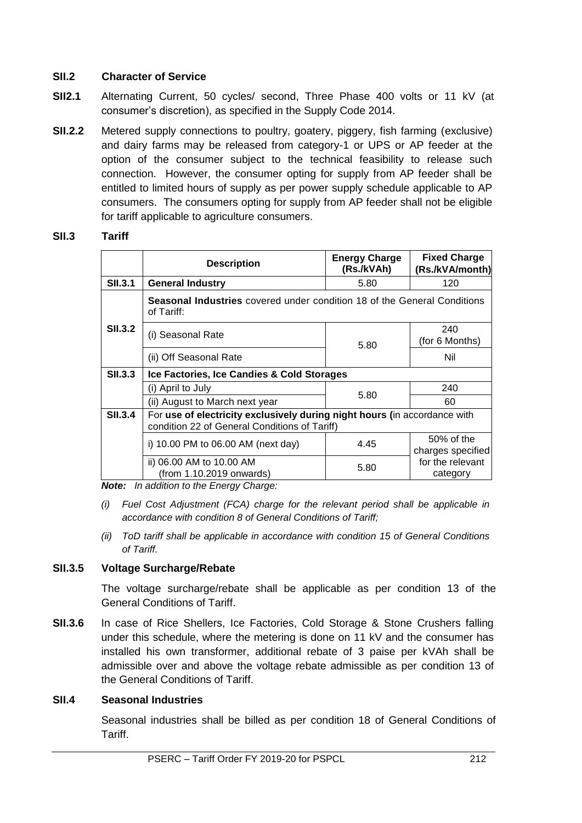# **SII.2 Character of Service**

- **SII2.1** Alternating Current, 50 cycles/ second, Three Phase 400 volts or 11 kV (at consumer's discretion), as specified in the Supply Code 2014.
- **SII.2.2** Metered supply connections to poultry, goatery, piggery, fish farming (exclusive) and dairy farms may be released from category-1 or UPS or AP feeder at the option of the consumer subject to the technical feasibility to release such connection. However, the consumer opting for supply from AP feeder shall be entitled to limited hours of supply as per power supply schedule applicable to AP consumers. The consumers opting for supply from AP feeder shall not be eligible for tariff applicable to agriculture consumers.

#### **SII.3 Tariff**

|                | <b>Description</b>                                                                                                         | <b>Energy Charge</b><br>(Rs./kVAh) | <b>Fixed Charge</b><br>(Rs./kVA/month) |
|----------------|----------------------------------------------------------------------------------------------------------------------------|------------------------------------|----------------------------------------|
| <b>SII.3.1</b> | <b>General Industry</b>                                                                                                    | 5.80                               | 120                                    |
|                | <b>Seasonal Industries</b> covered under condition 18 of the General Conditions<br>of Tariff:                              |                                    |                                        |
| <b>SII.3.2</b> | (i) Seasonal Rate                                                                                                          | 5.80                               | 240<br>(for 6 Months)                  |
|                | (ii) Off Seasonal Rate                                                                                                     |                                    | Nil                                    |
| <b>SII.3.3</b> | Ice Factories, Ice Candies & Cold Storages                                                                                 |                                    |                                        |
|                | (i) April to July                                                                                                          | 5.80                               | 240                                    |
|                | (ii) August to March next year                                                                                             |                                    | 60                                     |
| <b>SII.3.4</b> | For use of electricity exclusively during night hours (in accordance with<br>condition 22 of General Conditions of Tariff) |                                    |                                        |
|                | i) 10.00 PM to 06.00 AM (next day)                                                                                         | 4.45                               | 50% of the<br>charges specified        |
|                | ii) 06.00 AM to 10.00 AM<br>(from 1.10.2019 onwards)                                                                       | 5.80                               | for the relevant<br>category           |

*Note: In addition to the Energy Charge:*

- *(i) Fuel Cost Adjustment (FCA) charge for the relevant period shall be applicable in accordance with condition 8 of General Conditions of Tariff;*
- *(ii) ToD tariff shall be applicable in accordance with condition 15 of General Conditions of Tariff.*

### **SII.3.5 Voltage Surcharge/Rebate**

The voltage surcharge/rebate shall be applicable as per condition 13 of the General Conditions of Tariff.

**SII.3.6** In case of Rice Shellers, Ice Factories, Cold Storage & Stone Crushers falling under this schedule, where the metering is done on 11 kV and the consumer has installed his own transformer, additional rebate of 3 paise per kVAh shall be admissible over and above the voltage rebate admissible as per condition 13 of the General Conditions of Tariff.

### **SII.4 Seasonal Industries**

Seasonal industries shall be billed as per condition 18 of General Conditions of Tariff.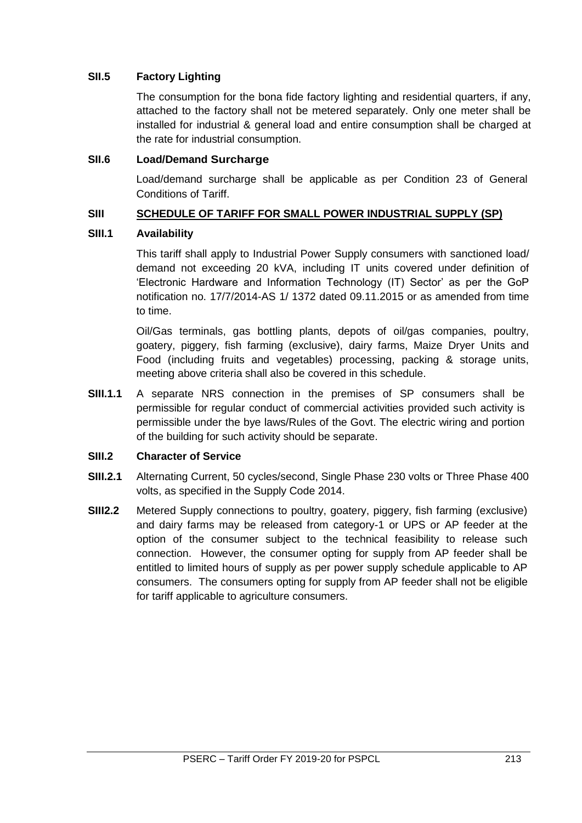# **SII.5 Factory Lighting**

The consumption for the bona fide factory lighting and residential quarters, if any, attached to the factory shall not be metered separately. Only one meter shall be installed for industrial & general load and entire consumption shall be charged at the rate for industrial consumption.

### **SII.6 Load/Demand Surcharge**

Load/demand surcharge shall be applicable as per Condition 23 of General Conditions of Tariff.

### **SIII SCHEDULE OF TARIFF FOR SMALL POWER INDUSTRIAL SUPPLY (SP)**

#### **SIII.1 Availability**

This tariff shall apply to Industrial Power Supply consumers with sanctioned load/ demand not exceeding 20 kVA, including IT units covered under definition of 'Electronic Hardware and Information Technology (IT) Sector' as per the GoP notification no. 17/7/2014-AS 1/ 1372 dated 09.11.2015 or as amended from time to time.

Oil/Gas terminals, gas bottling plants, depots of oil/gas companies, poultry, goatery, piggery, fish farming (exclusive), dairy farms, Maize Dryer Units and Food (including fruits and vegetables) processing, packing & storage units, meeting above criteria shall also be covered in this schedule.

**SIII.1.1** A separate NRS connection in the premises of SP consumers shall be permissible for regular conduct of commercial activities provided such activity is permissible under the bye laws/Rules of the Govt. The electric wiring and portion of the building for such activity should be separate.

#### **SIII.2 Character of Service**

- **SIII.2.1** Alternating Current, 50 cycles/second, Single Phase 230 volts or Three Phase 400 volts, as specified in the Supply Code 2014.
- **SIII2.2** Metered Supply connections to poultry, goatery, piggery, fish farming (exclusive) and dairy farms may be released from category-1 or UPS or AP feeder at the option of the consumer subject to the technical feasibility to release such connection. However, the consumer opting for supply from AP feeder shall be entitled to limited hours of supply as per power supply schedule applicable to AP consumers. The consumers opting for supply from AP feeder shall not be eligible for tariff applicable to agriculture consumers.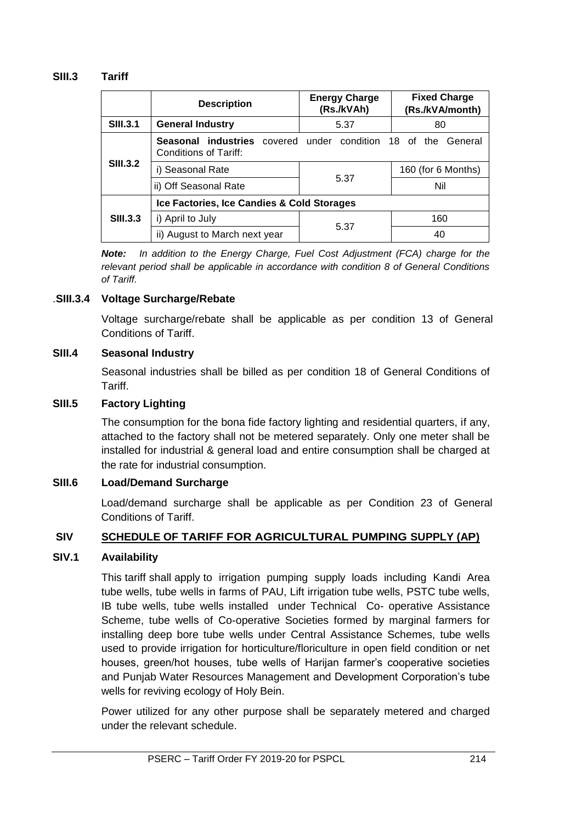#### **SIII.3 Tariff**

|                 | <b>Description</b>                                                                            | <b>Energy Charge</b><br>(Rs./kVAh) | <b>Fixed Charge</b><br>(Rs./kVA/month) |
|-----------------|-----------------------------------------------------------------------------------------------|------------------------------------|----------------------------------------|
| <b>SIII.3.1</b> | <b>General Industry</b>                                                                       | 5.37                               | 80                                     |
|                 | <b>Seasonal industries</b> covered under condition 18 of the General<br>Conditions of Tariff: |                                    |                                        |
| <b>SIII.3.2</b> | i) Seasonal Rate                                                                              |                                    | 160 (for 6 Months)                     |
|                 | ii) Off Seasonal Rate                                                                         | 5.37                               | Nil                                    |
|                 | Ice Factories, Ice Candies & Cold Storages                                                    |                                    |                                        |
| <b>SIII.3.3</b> | i) April to July                                                                              | 5.37                               | 160                                    |
|                 | ii) August to March next year                                                                 |                                    | 40                                     |

*Note: In addition to the Energy Charge, Fuel Cost Adjustment (FCA) charge for the relevant period shall be applicable in accordance with condition 8 of General Conditions of Tariff.*

#### .**SIII.3.4 Voltage Surcharge/Rebate**

Voltage surcharge/rebate shall be applicable as per condition 13 of General Conditions of Tariff.

#### **SIII.4 Seasonal Industry**

Seasonal industries shall be billed as per condition 18 of General Conditions of Tariff.

#### **SIII.5 Factory Lighting**

The consumption for the bona fide factory lighting and residential quarters, if any, attached to the factory shall not be metered separately. Only one meter shall be installed for industrial & general load and entire consumption shall be charged at the rate for industrial consumption.

### **SIII.6 Load/Demand Surcharge**

Load/demand surcharge shall be applicable as per Condition 23 of General Conditions of Tariff.

### **SIV SCHEDULE OF TARIFF FOR AGRICULTURAL PUMPING SUPPLY (AP)**

#### **SIV.1 Availability**

This tariff shall apply to irrigation pumping supply loads including Kandi Area tube wells, tube wells in farms of PAU, Lift irrigation tube wells, PSTC tube wells, IB tube wells, tube wells installed under Technical Co- operative Assistance Scheme, tube wells of Co-operative Societies formed by marginal farmers for installing deep bore tube wells under Central Assistance Schemes, tube wells used to provide irrigation for horticulture/floriculture in open field condition or net houses, green/hot houses, tube wells of Harijan farmer's cooperative societies and Punjab Water Resources Management and Development Corporation's tube wells for reviving ecology of Holy Bein.

Power utilized for any other purpose shall be separately metered and charged under the relevant schedule.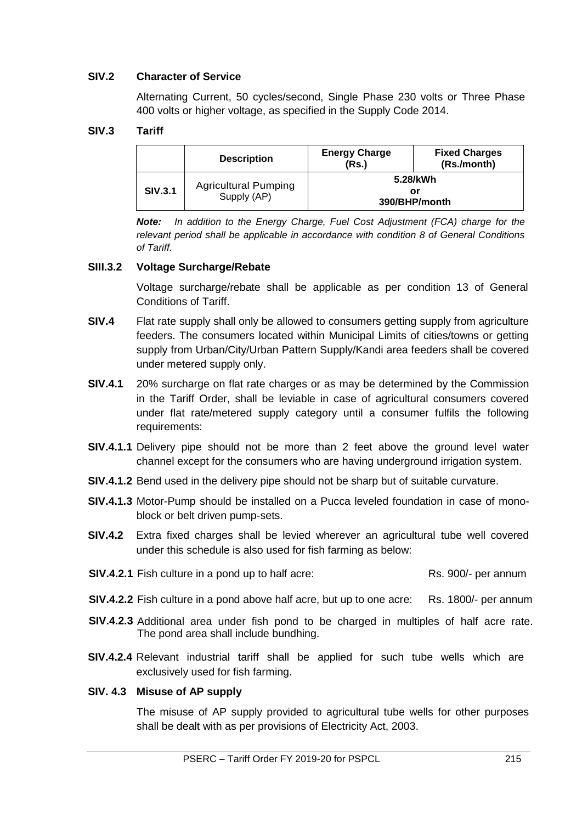# **SIV.2 Character of Service**

Alternating Current, 50 cycles/second, Single Phase 230 volts or Three Phase 400 volts or higher voltage, as specified in the Supply Code 2014.

### **SIV.3 Tariff**

|                | <b>Description</b>                         | <b>Energy Charge</b><br>(Rs.) | <b>Fixed Charges</b><br>(Rs./month) |
|----------------|--------------------------------------------|-------------------------------|-------------------------------------|
| <b>SIV.3.1</b> | <b>Agricultural Pumping</b><br>Supply (AP) |                               | 5.28/kWh<br>or<br>390/BHP/month     |

*Note: In addition to the Energy Charge, Fuel Cost Adjustment (FCA) charge for the relevant period shall be applicable in accordance with condition 8 of General Conditions of Tariff.*

#### **SIII.3.2 Voltage Surcharge/Rebate**

Voltage surcharge/rebate shall be applicable as per condition 13 of General Conditions of Tariff.

- **SIV.4** Flat rate supply shall only be allowed to consumers getting supply from agriculture feeders. The consumers located within Municipal Limits of cities/towns or getting supply from Urban/City/Urban Pattern Supply/Kandi area feeders shall be covered under metered supply only.
- **SIV.4.1** 20% surcharge on flat rate charges or as may be determined by the Commission in the Tariff Order, shall be leviable in case of agricultural consumers covered under flat rate/metered supply category until a consumer fulfils the following requirements:
- **SIV.4.1.1** Delivery pipe should not be more than 2 feet above the ground level water channel except for the consumers who are having underground irrigation system.
- **SIV.4.1.2** Bend used in the delivery pipe should not be sharp but of suitable curvature.
- **SIV.4.1.3** Motor-Pump should be installed on a Pucca leveled foundation in case of monoblock or belt driven pump-sets.
- **SIV.4.2** Extra fixed charges shall be levied wherever an agricultural tube well covered under this schedule is also used for fish farming as below:
- **SIV.4.2.1** Fish culture in a pond up to half acre: Rs. 900/- per annum
- **SIV.4.2.2** Fish culture in a pond above half acre, but up to one acre: Rs. 1800/- per annum
- **SIV.4.2.3** Additional area under fish pond to be charged in multiples of half acre rate. The pond area shall include bundhing.
- **SIV.4.2.4** Relevant industrial tariff shall be applied for such tube wells which are exclusively used for fish farming.

#### **SIV. 4.3 Misuse of AP supply**

The misuse of AP supply provided to agricultural tube wells for other purposes shall be dealt with as per provisions of Electricity Act, 2003.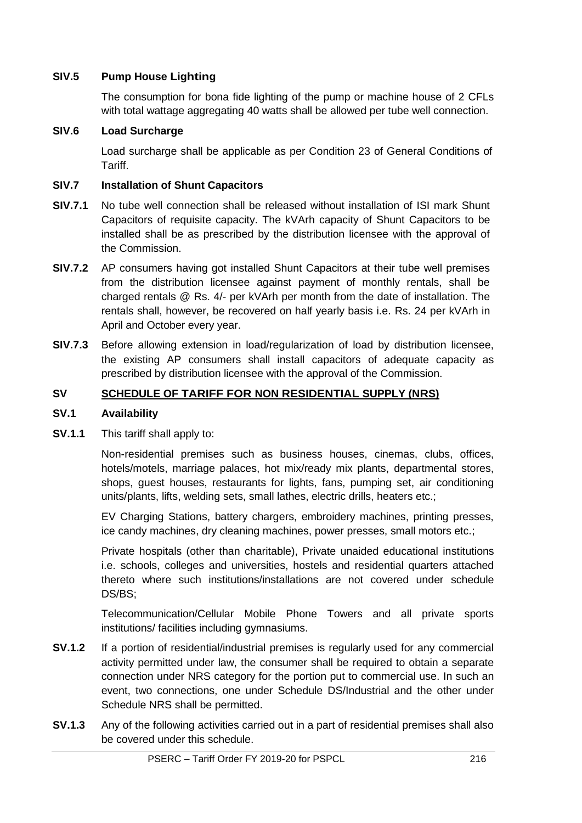# **SIV.5 Pump House Lighting**

The consumption for bona fide lighting of the pump or machine house of 2 CFLs with total wattage aggregating 40 watts shall be allowed per tube well connection.

### **SIV.6 Load Surcharge**

Load surcharge shall be applicable as per Condition 23 of General Conditions of Tariff.

### **SIV.7 Installation of Shunt Capacitors**

- **SIV.7.1** No tube well connection shall be released without installation of ISI mark Shunt Capacitors of requisite capacity. The kVArh capacity of Shunt Capacitors to be installed shall be as prescribed by the distribution licensee with the approval of the Commission.
- **SIV.7.2** AP consumers having got installed Shunt Capacitors at their tube well premises from the distribution licensee against payment of monthly rentals, shall be charged rentals @ Rs. 4/- per kVArh per month from the date of installation. The rentals shall, however, be recovered on half yearly basis i.e. Rs. 24 per kVArh in April and October every year.
- **SIV.7.3** Before allowing extension in load/regularization of load by distribution licensee, the existing AP consumers shall install capacitors of adequate capacity as prescribed by distribution licensee with the approval of the Commission.

### **SV SCHEDULE OF TARIFF FOR NON RESIDENTIAL SUPPLY (NRS)**

#### **SV.1 Availability**

**SV.1.1** This tariff shall apply to:

Non-residential premises such as business houses, cinemas, clubs, offices, hotels/motels, marriage palaces, hot mix/ready mix plants, departmental stores, shops, guest houses, restaurants for lights, fans, pumping set, air conditioning units/plants, lifts, welding sets, small lathes, electric drills, heaters etc.;

EV Charging Stations, battery chargers, embroidery machines, printing presses, ice candy machines, dry cleaning machines, power presses, small motors etc.;

Private hospitals (other than charitable), Private unaided educational institutions i.e. schools, colleges and universities, hostels and residential quarters attached thereto where such institutions/installations are not covered under schedule DS/BS;

Telecommunication/Cellular Mobile Phone Towers and all private sports institutions/ facilities including gymnasiums.

- **SV.1.2** If a portion of residential/industrial premises is regularly used for any commercial activity permitted under law, the consumer shall be required to obtain a separate connection under NRS category for the portion put to commercial use. In such an event, two connections, one under Schedule DS/Industrial and the other under Schedule NRS shall be permitted.
- **SV.1.3** Any of the following activities carried out in a part of residential premises shall also be covered under this schedule.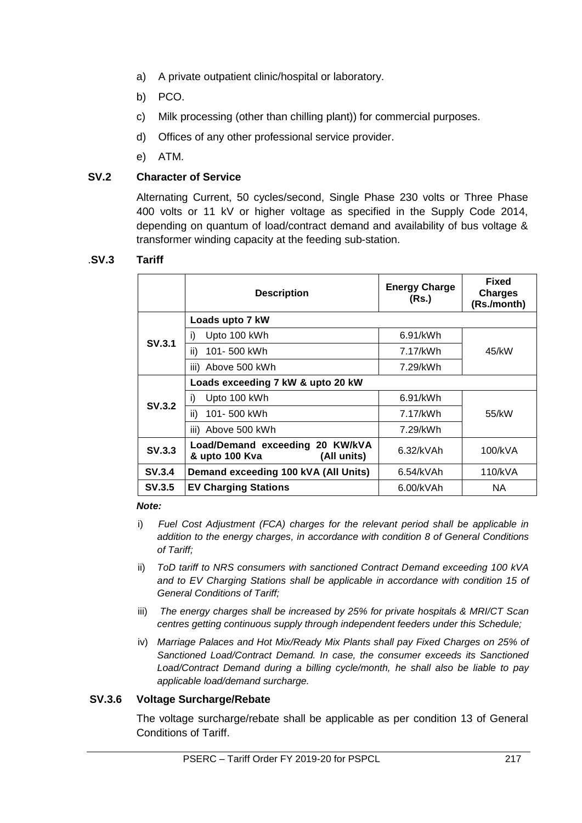- a) A private outpatient clinic/hospital or laboratory.
- b) PCO.
- c) Milk processing (other than chilling plant)) for commercial purposes.
- d) Offices of any other professional service provider.
- e) ATM.

# **SV.2 Character of Service**

Alternating Current, 50 cycles/second, Single Phase 230 volts or Three Phase 400 volts or 11 kV or higher voltage as specified in the Supply Code 2014, depending on quantum of load/contract demand and availability of bus voltage & transformer winding capacity at the feeding sub-station.

#### .**SV.3 Tariff**

|               | <b>Description</b>                                               | <b>Energy Charge</b><br>(Rs.) | <b>Fixed</b><br><b>Charges</b><br>(Rs./month) |
|---------------|------------------------------------------------------------------|-------------------------------|-----------------------------------------------|
|               | Loads upto 7 kW                                                  |                               |                                               |
| SV.3.1        | Upto 100 kWh<br>i)                                               | $6.91$ /kWh                   |                                               |
|               | ii)<br>101-500 kWh                                               | 7.17/kWh                      | 45/kW                                         |
|               | iii) Above 500 kWh                                               | 7.29/kWh                      |                                               |
|               | Loads exceeding 7 kW & upto 20 kW                                |                               |                                               |
| SV.3.2        | Upto 100 kWh<br>i)                                               | 6.91/kWh                      |                                               |
|               | ii)<br>101-500 kWh                                               | 7.17/kWh                      | 55/kW                                         |
|               | iii) Above 500 kWh                                               | 7.29/kWh                      |                                               |
| SV.3.3        | Load/Demand exceeding 20 KW/kVA<br>& upto 100 Kva<br>(All units) | 6.32/kVAh                     | 100/kVA                                       |
| SV.3.4        | Demand exceeding 100 kVA (All Units)                             | 6.54/kVAh                     | 110/kVA                                       |
| <b>SV.3.5</b> | <b>EV Charging Stations</b>                                      | 6.00/kVAh                     | NA.                                           |

#### *Note:*

- i) *Fuel Cost Adjustment (FCA) charges for the relevant period shall be applicable in addition to the energy charges, in accordance with condition 8 of General Conditions of Tariff;*
- ii) *ToD tariff to NRS consumers with sanctioned Contract Demand exceeding 100 kVA and to EV Charging Stations shall be applicable in accordance with condition 15 of General Conditions of Tariff;*
- iii) *The energy charges shall be increased by 25% for private hospitals & MRI/CT Scan centres getting continuous supply through independent feeders under this Schedule;*
- iv) *Marriage Palaces and Hot Mix/Ready Mix Plants shall pay Fixed Charges on 25% of Sanctioned Load/Contract Demand. In case, the consumer exceeds its Sanctioned Load/Contract Demand during a billing cycle/month, he shall also be liable to pay applicable load/demand surcharge.*

### **SV.3.6 Voltage Surcharge/Rebate**

The voltage surcharge/rebate shall be applicable as per condition 13 of General Conditions of Tariff.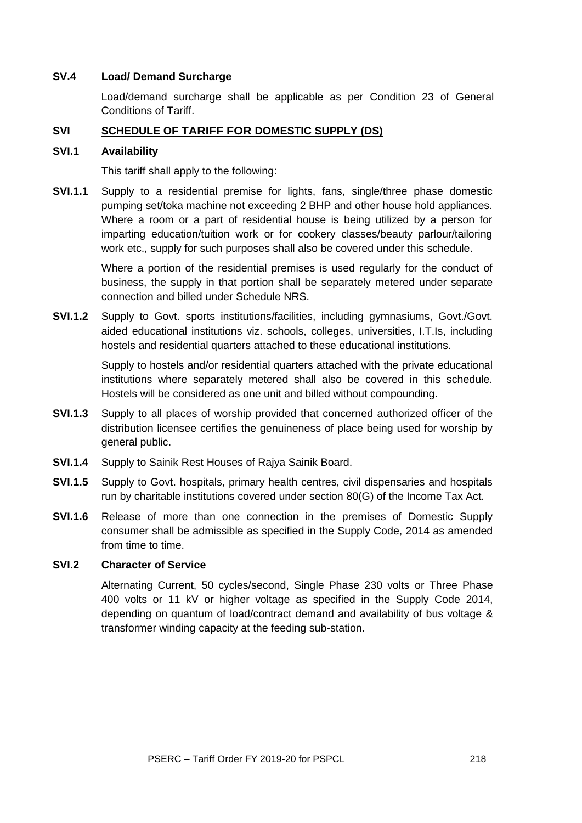### **SV.4 Load/ Demand Surcharge**

Load/demand surcharge shall be applicable as per Condition 23 of General Conditions of Tariff.

# **SVI SCHEDULE OF TARIFF FOR DOMESTIC SUPPLY (DS)**

### **SVI.1 Availability**

This tariff shall apply to the following:

**SVI.1.1** Supply to a residential premise for lights, fans, single/three phase domestic pumping set/toka machine not exceeding 2 BHP and other house hold appliances. Where a room or a part of residential house is being utilized by a person for imparting education/tuition work or for cookery classes/beauty parlour/tailoring work etc., supply for such purposes shall also be covered under this schedule.

> Where a portion of the residential premises is used regularly for the conduct of business, the supply in that portion shall be separately metered under separate connection and billed under Schedule NRS.

**SVI.1.2** Supply to Govt. sports institutions/facilities, including gymnasiums, Govt./Govt. aided educational institutions viz. schools, colleges, universities, I.T.Is, including hostels and residential quarters attached to these educational institutions.

> Supply to hostels and/or residential quarters attached with the private educational institutions where separately metered shall also be covered in this schedule. Hostels will be considered as one unit and billed without compounding.

- **SVI.1.3** Supply to all places of worship provided that concerned authorized officer of the distribution licensee certifies the genuineness of place being used for worship by general public.
- **SVI.1.4** Supply to Sainik Rest Houses of Rajya Sainik Board.
- **SVI.1.5** Supply to Govt. hospitals, primary health centres, civil dispensaries and hospitals run by charitable institutions covered under section 80(G) of the Income Tax Act.
- **SVI.1.6** Release of more than one connection in the premises of Domestic Supply consumer shall be admissible as specified in the Supply Code, 2014 as amended from time to time.

### **SVI.2 Character of Service**

Alternating Current, 50 cycles/second, Single Phase 230 volts or Three Phase 400 volts or 11 kV or higher voltage as specified in the Supply Code 2014, depending on quantum of load/contract demand and availability of bus voltage & transformer winding capacity at the feeding sub-station.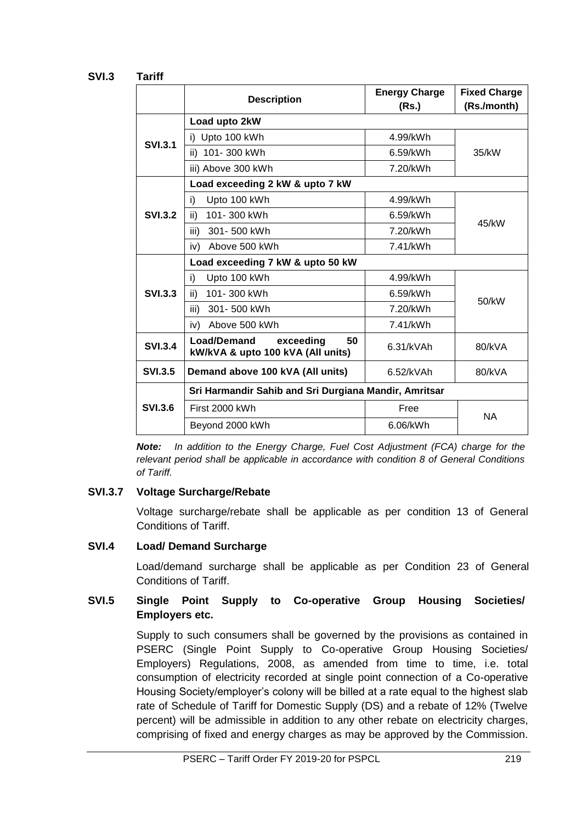# **SVI.3 Tariff**

|                | <b>Description</b>                                                  | <b>Energy Charge</b><br>(Rs.) | <b>Fixed Charge</b><br>(Rs./month) |
|----------------|---------------------------------------------------------------------|-------------------------------|------------------------------------|
|                | Load upto 2kW                                                       |                               |                                    |
| <b>SVI.3.1</b> | i) Upto 100 kWh                                                     | 4.99/kWh                      | 35/kW                              |
|                | ii) 101-300 kWh                                                     | 6.59/kWh                      |                                    |
|                | iii) Above 300 kWh                                                  | 7.20/kWh                      |                                    |
|                | Load exceeding 2 kW & upto 7 kW                                     |                               |                                    |
|                | Upto 100 kWh<br>i)                                                  | 4.99/kWh                      |                                    |
| <b>SVL3.2</b>  | 101-300 kWh<br>ii)                                                  | 6.59/kWh                      | 45/kW                              |
|                | iii)<br>301-500 kWh                                                 | 7.20/kWh                      |                                    |
|                | Above 500 kWh<br>iv)                                                | 7.41/kWh                      |                                    |
|                | Load exceeding 7 kW & upto 50 kW                                    |                               |                                    |
|                | Upto 100 kWh<br>i)                                                  | 4.99/kWh                      |                                    |
| <b>SVI.3.3</b> | 101-300 kWh<br>ii)                                                  | 6.59/kWh                      | 50/kW                              |
|                | iii)<br>301-500 kWh                                                 | 7.20/kWh                      |                                    |
|                | Above 500 kWh<br>iv)                                                | 7.41/kWh                      |                                    |
| <b>SVI.3.4</b> | Load/Demand<br>50<br>exceeding<br>kW/kVA & upto 100 kVA (All units) | 6.31/kVAh                     | 80/kVA                             |
| <b>SVI.3.5</b> | Demand above 100 kVA (All units)                                    | 6.52/kVAh                     | 80/kVA                             |
|                | Sri Harmandir Sahib and Sri Durgiana Mandir, Amritsar               |                               |                                    |
| <b>SVI.3.6</b> | First 2000 kWh                                                      | Free                          | <b>NA</b>                          |
|                | Beyond 2000 kWh                                                     | 6.06/kWh                      |                                    |

*Note: In addition to the Energy Charge, Fuel Cost Adjustment (FCA) charge for the relevant period shall be applicable in accordance with condition 8 of General Conditions of Tariff.*

### **SVI.3.7 Voltage Surcharge/Rebate**

Voltage surcharge/rebate shall be applicable as per condition 13 of General Conditions of Tariff.

### **SVI.4 Load/ Demand Surcharge**

Load/demand surcharge shall be applicable as per Condition 23 of General Conditions of Tariff.

### **SVI.5 Single Point Supply to Co-operative Group Housing Societies/ Employers etc.**

Supply to such consumers shall be governed by the provisions as contained in PSERC (Single Point Supply to Co-operative Group Housing Societies/ Employers) Regulations, 2008, as amended from time to time, i.e. total consumption of electricity recorded at single point connection of a Co-operative Housing Society/employer's colony will be billed at a rate equal to the highest slab rate of Schedule of Tariff for Domestic Supply (DS) and a rebate of 12% (Twelve percent) will be admissible in addition to any other rebate on electricity charges, comprising of fixed and energy charges as may be approved by the Commission.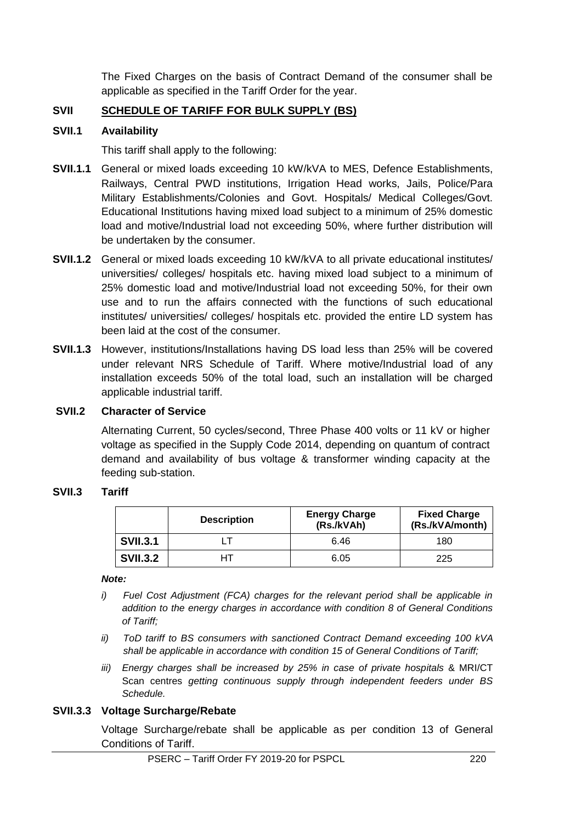The Fixed Charges on the basis of Contract Demand of the consumer shall be applicable as specified in the Tariff Order for the year.

# **SVII SCHEDULE OF TARIFF FOR BULK SUPPLY (BS)**

#### **SVII.1 Availability**

This tariff shall apply to the following:

- **SVII.1.1** General or mixed loads exceeding 10 kW/kVA to MES, Defence Establishments, Railways, Central PWD institutions, Irrigation Head works, Jails, Police/Para Military Establishments/Colonies and Govt. Hospitals/ Medical Colleges/Govt. Educational Institutions having mixed load subject to a minimum of 25% domestic load and motive/Industrial load not exceeding 50%, where further distribution will be undertaken by the consumer.
- **SVII.1.2** General or mixed loads exceeding 10 kW/kVA to all private educational institutes/ universities/ colleges/ hospitals etc. having mixed load subject to a minimum of 25% domestic load and motive/Industrial load not exceeding 50%, for their own use and to run the affairs connected with the functions of such educational institutes/ universities/ colleges/ hospitals etc. provided the entire LD system has been laid at the cost of the consumer.
- **SVII.1.3** However, institutions/Installations having DS load less than 25% will be covered under relevant NRS Schedule of Tariff. Where motive/Industrial load of any installation exceeds 50% of the total load, such an installation will be charged applicable industrial tariff.

#### **SVII.2 Character of Service**

Alternating Current, 50 cycles/second, Three Phase 400 volts or 11 kV or higher voltage as specified in the Supply Code 2014, depending on quantum of contract demand and availability of bus voltage & transformer winding capacity at the feeding sub-station.

#### **SVII.3 Tariff**

|                 | <b>Description</b> | <b>Energy Charge</b><br>(Rs./kVAh) | <b>Fixed Charge</b><br>(Rs./kVA/month) |
|-----------------|--------------------|------------------------------------|----------------------------------------|
| <b>SVII.3.1</b> |                    | 6.46                               | 180                                    |
| <b>SVII.3.2</b> | нт                 | 6.05                               | 225                                    |

#### *Note:*

- *i) Fuel Cost Adjustment (FCA) charges for the relevant period shall be applicable in addition to the energy charges in accordance with condition 8 of General Conditions of Tariff;*
- *ii) ToD tariff to BS consumers with sanctioned Contract Demand exceeding 100 kVA shall be applicable in accordance with condition 15 of General Conditions of Tariff;*
- *iii) Energy charges shall be increased by 25% in case of private hospitals* & MRI/CT Scan centres *getting continuous supply through independent feeders under BS Schedule.*

#### **SVII.3.3 Voltage Surcharge/Rebate**

Voltage Surcharge/rebate shall be applicable as per condition 13 of General Conditions of Tariff.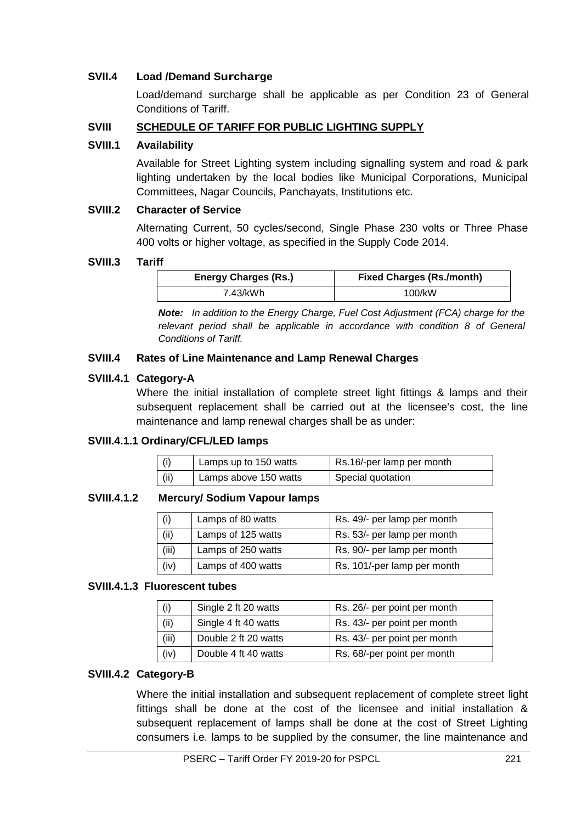### **SVII.4 Load /Demand Surcharge**

Load/demand surcharge shall be applicable as per Condition 23 of General Conditions of Tariff.

### **SVIII SCHEDULE OF TARIFF FOR PUBLIC LIGHTING SUPPLY**

#### **SVIII.1 Availability**

Available for Street Lighting system including signalling system and road & park lighting undertaken by the local bodies like Municipal Corporations, Municipal Committees, Nagar Councils, Panchayats, Institutions etc.

#### **SVIII.2 Character of Service**

Alternating Current, 50 cycles/second, Single Phase 230 volts or Three Phase 400 volts or higher voltage, as specified in the Supply Code 2014.

#### **SVIII.3 Tariff**

| <b>Energy Charges (Rs.)</b> | <b>Fixed Charges (Rs./month)</b> |
|-----------------------------|----------------------------------|
| 7.43/kWh                    | 100/kW                           |

*Note: In addition to the Energy Charge, Fuel Cost Adjustment (FCA) charge for the relevant period shall be applicable in accordance with condition 8 of General Conditions of Tariff.*

### **SVIII.4 Rates of Line Maintenance and Lamp Renewal Charges**

#### **SVIII.4.1 Category-A**

Where the initial installation of complete street light fittings & lamps and their subsequent replacement shall be carried out at the licensee's cost, the line maintenance and lamp renewal charges shall be as under:

### **SVIII.4.1.1 Ordinary/CFL/LED lamps**

| (i)  | Lamps up to 150 watts | Rs.16/-per lamp per month |
|------|-----------------------|---------------------------|
| (ii) | Lamps above 150 watts | Special quotation         |

#### **SVIII.4.1.2 Mercury/ Sodium Vapour lamps**

| (i)   | Lamps of 80 watts  | Rs. 49/- per lamp per month |
|-------|--------------------|-----------------------------|
| (ii)  | Lamps of 125 watts | Rs. 53/- per lamp per month |
| (iii) | Lamps of 250 watts | Rs. 90/- per lamp per month |
| (iv)  | Lamps of 400 watts | Rs. 101/-per lamp per month |

#### **SVIII.4.1.3 Fluorescent tubes**

| (i)   | Single 2 ft 20 watts | Rs. 26/- per point per month |  |
|-------|----------------------|------------------------------|--|
| (ii)  | Single 4 ft 40 watts | Rs. 43/- per point per month |  |
| (iii) | Double 2 ft 20 watts | Rs. 43/- per point per month |  |
| (iv)  | Double 4 ft 40 watts | Rs. 68/-per point per month  |  |

#### **SVIII.4.2 Category-B**

Where the initial installation and subsequent replacement of complete street light fittings shall be done at the cost of the licensee and initial installation & subsequent replacement of lamps shall be done at the cost of Street Lighting consumers i.e. lamps to be supplied by the consumer, the line maintenance and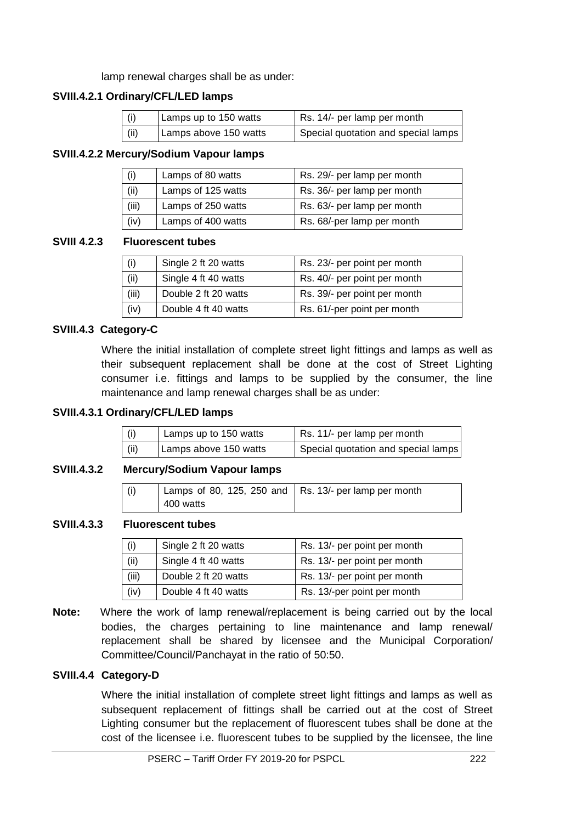lamp renewal charges shall be as under:

### **SVIII.4.2.1 Ordinary/CFL/LED lamps**

| (i)  | Lamps up to 150 watts | Rs. 14/- per lamp per month         |  |
|------|-----------------------|-------------------------------------|--|
| (ii) | Lamps above 150 watts | Special quotation and special lamps |  |

#### **SVIII.4.2.2 Mercury/Sodium Vapour lamps**

| (i)                         | Lamps of 80 watts | Rs. 29/- per lamp per month |  |
|-----------------------------|-------------------|-----------------------------|--|
| (ii)<br>Lamps of 125 watts  |                   | Rs. 36/- per lamp per month |  |
| (iii)<br>Lamps of 250 watts |                   | Rs. 63/- per lamp per month |  |
| (iv)<br>Lamps of 400 watts  |                   | Rs. 68/-per lamp per month  |  |

#### **SVIII 4.2.3 Fluorescent tubes**

| (i)                          | Single 2 ft 20 watts | Rs. 23/- per point per month |  |
|------------------------------|----------------------|------------------------------|--|
| (ii)<br>Single 4 ft 40 watts |                      | Rs. 40/- per point per month |  |
| (iii)                        | Double 2 ft 20 watts | Rs. 39/- per point per month |  |
| (iv)                         | Double 4 ft 40 watts | Rs. 61/-per point per month  |  |

#### **SVIII.4.3 Category-C**

Where the initial installation of complete street light fittings and lamps as well as their subsequent replacement shall be done at the cost of Street Lighting consumer i.e. fittings and lamps to be supplied by the consumer, the line maintenance and lamp renewal charges shall be as under:

#### **SVIII.4.3.1 Ordinary/CFL/LED lamps**

| (i)  | Lamps up to 150 watts | Rs. 11/- per lamp per month         |  |
|------|-----------------------|-------------------------------------|--|
| (ii) | Lamps above 150 watts | Special quotation and special lamps |  |

#### **SVIII.4.3.2 Mercury/Sodium Vapour lamps**

| (i) | Lamps of 80, 125, 250 and $\vert$ Rs. 13/- per lamp per month |  |
|-----|---------------------------------------------------------------|--|
|     | 400 watts                                                     |  |

#### **SVIII.4.3.3 Fluorescent tubes**

| (i)                          | Single 2 ft 20 watts | Rs. 13/- per point per month |  |
|------------------------------|----------------------|------------------------------|--|
| (ii)<br>Single 4 ft 40 watts |                      | Rs. 13/- per point per month |  |
| (iii)                        | Double 2 ft 20 watts | Rs. 13/- per point per month |  |
| (iv)                         | Double 4 ft 40 watts | Rs. 13/-per point per month  |  |

**Note:** Where the work of lamp renewal/replacement is being carried out by the local bodies, the charges pertaining to line maintenance and lamp renewal/ replacement shall be shared by licensee and the Municipal Corporation/ Committee/Council/Panchayat in the ratio of 50:50.

#### **SVIII.4.4 Category-D**

Where the initial installation of complete street light fittings and lamps as well as subsequent replacement of fittings shall be carried out at the cost of Street Lighting consumer but the replacement of fluorescent tubes shall be done at the cost of the licensee i.e. fluorescent tubes to be supplied by the licensee, the line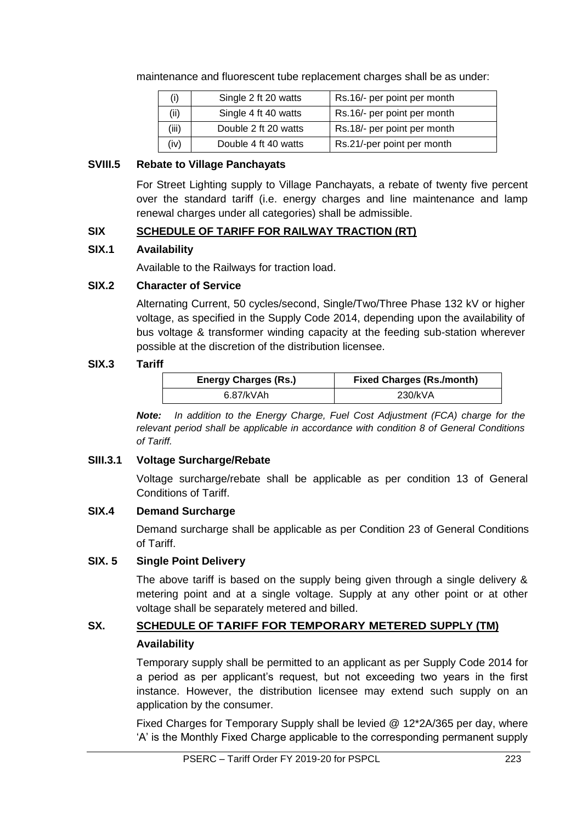maintenance and fluorescent tube replacement charges shall be as under:

| (i)                          | Single 2 ft 20 watts | Rs.16/- per point per month |  |
|------------------------------|----------------------|-----------------------------|--|
| (ii)                         | Single 4 ft 40 watts | Rs.16/- per point per month |  |
| (iii)                        | Double 2 ft 20 watts | Rs.18/- per point per month |  |
| (iv)<br>Double 4 ft 40 watts |                      | Rs.21/-per point per month  |  |

#### **SVIII.5 Rebate to Village Panchayats**

For Street Lighting supply to Village Panchayats, a rebate of twenty five percent over the standard tariff (i.e. energy charges and line maintenance and lamp renewal charges under all categories) shall be admissible.

### **SIX SCHEDULE OF TARIFF FOR RAILWAY TRACTION (RT)**

#### **SIX.1 Availability**

Available to the Railways for traction load.

#### **SIX.2 Character of Service**

Alternating Current, 50 cycles/second, Single/Two/Three Phase 132 kV or higher voltage, as specified in the Supply Code 2014, depending upon the availability of bus voltage & transformer winding capacity at the feeding sub-station wherever possible at the discretion of the distribution licensee.

#### **SIX.3 Tariff**

| <b>Energy Charges (Rs.)</b> | <b>Fixed Charges (Rs./month)</b> |  |
|-----------------------------|----------------------------------|--|
| 6.87/kVAh                   | 230/kVA                          |  |

*Note: In addition to the Energy Charge, Fuel Cost Adjustment (FCA) charge for the relevant period shall be applicable in accordance with condition 8 of General Conditions of Tariff.*

### **SIII.3.1 Voltage Surcharge/Rebate**

Voltage surcharge/rebate shall be applicable as per condition 13 of General Conditions of Tariff.

#### **SIX.4 Demand Surcharge**

Demand surcharge shall be applicable as per Condition 23 of General Conditions of Tariff.

# **SIX. 5 Single Point Delivery**

The above tariff is based on the supply being given through a single delivery & metering point and at a single voltage. Supply at any other point or at other voltage shall be separately metered and billed.

# SX. SCHEDULE OF TARIFF FOR TEMPORARY METERED SUPPLY (TM) **Availability**

Temporary supply shall be permitted to an applicant as per Supply Code 2014 for a period as per applicant's request, but not exceeding two years in the first instance. However, the distribution licensee may extend such supply on an application by the consumer.

Fixed Charges for Temporary Supply shall be levied @ 12\*2A/365 per day, where 'A' is the Monthly Fixed Charge applicable to the corresponding permanent supply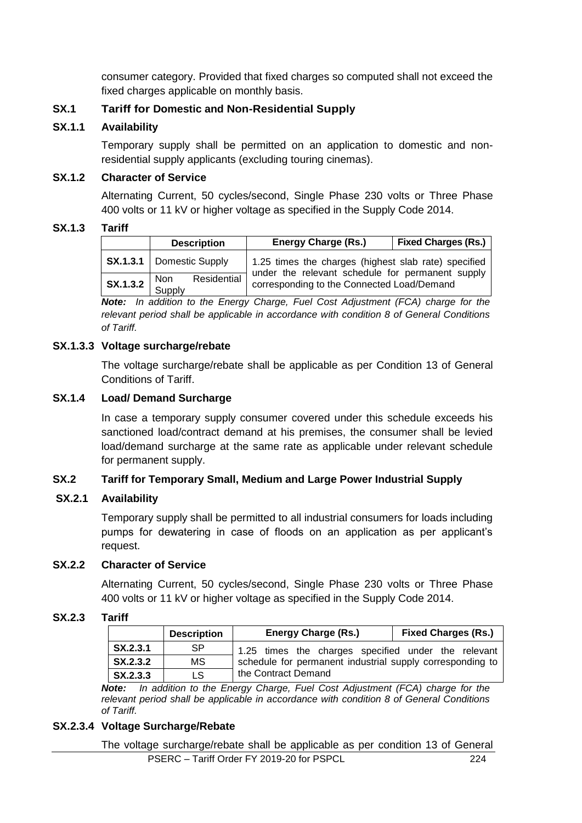consumer category. Provided that fixed charges so computed shall not exceed the fixed charges applicable on monthly basis.

### **SX.1 Tariff for Domestic and Non-Residential Supply**

#### **SX.1.1 Availability**

Temporary supply shall be permitted on an application to domestic and nonresidential supply applicants (excluding touring cinemas).

#### **SX.1.2 Character of Service**

Alternating Current, 50 cycles/second, Single Phase 230 volts or Three Phase 400 volts or 11 kV or higher voltage as specified in the Supply Code 2014.

#### **SX.1.3 Tariff**

|                                                                              | <b>Description</b>                | <b>Energy Charge (Rs.)</b>                                                                     | <b>Fixed Charges (Rs.)</b> |
|------------------------------------------------------------------------------|-----------------------------------|------------------------------------------------------------------------------------------------|----------------------------|
|                                                                              | <b>SX.1.3.1</b>   Domestic Supply | 1.25 times the charges (highest slab rate) specified                                           |                            |
| $\left  \begin{array}{c} \text{S} \text{X}.1.3.2 \end{array} \right $ Supply | Residential                       | under the relevant schedule for permanent supply<br>corresponding to the Connected Load/Demand |                            |

*Note: In addition to the Energy Charge, Fuel Cost Adjustment (FCA) charge for the relevant period shall be applicable in accordance with condition 8 of General Conditions of Tariff.*

#### **SX.1.3.3 Voltage surcharge/rebate**

The voltage surcharge/rebate shall be applicable as per Condition 13 of General Conditions of Tariff.

#### **SX.1.4 Load/ Demand Surcharge**

In case a temporary supply consumer covered under this schedule exceeds his sanctioned load/contract demand at his premises, the consumer shall be levied load/demand surcharge at the same rate as applicable under relevant schedule for permanent supply.

### **SX.2 Tariff for Temporary Small, Medium and Large Power Industrial Supply**

#### **SX.2.1 Availability**

Temporary supply shall be permitted to all industrial consumers for loads including pumps for dewatering in case of floods on an application as per applicant's request.

#### **SX.2.2 Character of Service**

Alternating Current, 50 cycles/second, Single Phase 230 volts or Three Phase 400 volts or 11 kV or higher voltage as specified in the Supply Code 2014.

#### **SX.2.3 Tariff**

|                      | <b>Description</b> | <b>Energy Charge (Rs.)</b>                                | <b>Fixed Charges (Rs.)</b> |
|----------------------|--------------------|-----------------------------------------------------------|----------------------------|
| SX.2.3.1             | SP.                | 1.25 times the charges specified under the relevant       |                            |
| SX.2.3.2             | MS.                | schedule for permanent industrial supply corresponding to |                            |
| $\mathsf{SX}$ .2.3.3 | LS.                | the Contract Demand                                       |                            |

*Note: In addition to the Energy Charge, Fuel Cost Adjustment (FCA) charge for the relevant period shall be applicable in accordance with condition 8 of General Conditions of Tariff.*

#### **SX.2.3.4 Voltage Surcharge/Rebate**

 PSERC – Tariff Order FY 2019-20 for PSPCL 224 The voltage surcharge/rebate shall be applicable as per condition 13 of General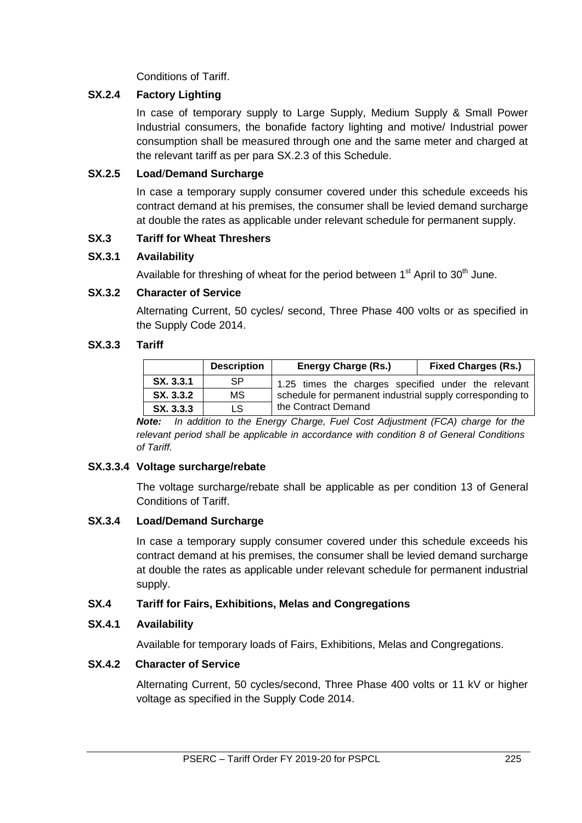Conditions of Tariff.

# **SX.2.4 Factory Lighting**

In case of temporary supply to Large Supply, Medium Supply & Small Power Industrial consumers, the bonafide factory lighting and motive/ Industrial power consumption shall be measured through one and the same meter and charged at the relevant tariff as per para SX.2.3 of this Schedule.

# **SX.2.5 Load**/**Demand Surcharge**

In case a temporary supply consumer covered under this schedule exceeds his contract demand at his premises, the consumer shall be levied demand surcharge at double the rates as applicable under relevant schedule for permanent supply.

# **SX.3 Tariff for Wheat Threshers**

# **SX.3.1 Availability**

Available for threshing of wheat for the period between  $1<sup>st</sup>$  April to  $30<sup>th</sup>$  June.

# **SX.3.2 Character of Service**

Alternating Current, 50 cycles/ second, Three Phase 400 volts or as specified in the Supply Code 2014.

# **SX.3.3 Tariff**

|           | <b>Description</b> | <b>Energy Charge (Rs.)</b>                                | <b>Fixed Charges (Rs.)</b> |
|-----------|--------------------|-----------------------------------------------------------|----------------------------|
| SX. 3.3.1 | SP                 | 1.25 times the charges specified under the relevant       |                            |
| SX. 3.3.2 | MS                 | schedule for permanent industrial supply corresponding to |                            |
| SX. 3.3.3 | LS                 | the Contract Demand                                       |                            |

*Note: In addition to the Energy Charge, Fuel Cost Adjustment (FCA) charge for the relevant period shall be applicable in accordance with condition 8 of General Conditions of Tariff.*

### **SX.3.3.4 Voltage surcharge/rebate**

The voltage surcharge/rebate shall be applicable as per condition 13 of General Conditions of Tariff.

### **SX.3.4 Load/Demand Surcharge**

In case a temporary supply consumer covered under this schedule exceeds his contract demand at his premises, the consumer shall be levied demand surcharge at double the rates as applicable under relevant schedule for permanent industrial supply.

# **SX.4 Tariff for Fairs, Exhibitions, Melas and Congregations**

### **SX.4.1 Availability**

Available for temporary loads of Fairs, Exhibitions, Melas and Congregations.

# **SX.4.2 Character of Service**

Alternating Current, 50 cycles/second, Three Phase 400 volts or 11 kV or higher voltage as specified in the Supply Code 2014.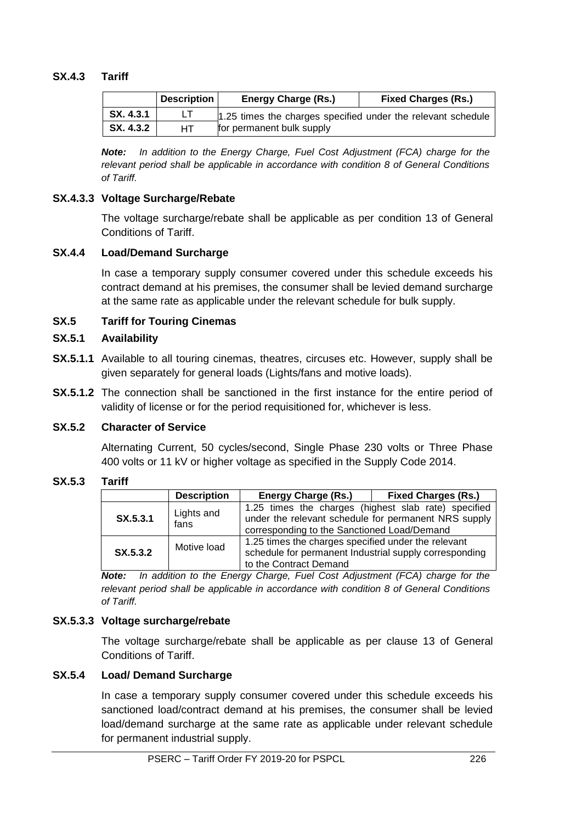# **SX.4.3 Tariff**

|           | <b>Description</b> | <b>Energy Charge (Rs.)</b>                                   | <b>Fixed Charges (Rs.)</b> |
|-----------|--------------------|--------------------------------------------------------------|----------------------------|
| SX. 4.3.1 |                    | 1.25 times the charges specified under the relevant schedule |                            |
| SX. 4.3.2 | HТ                 | for permanent bulk supply                                    |                            |

*Note: In addition to the Energy Charge, Fuel Cost Adjustment (FCA) charge for the relevant period shall be applicable in accordance with condition 8 of General Conditions of Tariff.*

### **SX.4.3.3 Voltage Surcharge/Rebate**

The voltage surcharge/rebate shall be applicable as per condition 13 of General Conditions of Tariff.

#### **SX.4.4 Load/Demand Surcharge**

In case a temporary supply consumer covered under this schedule exceeds his contract demand at his premises, the consumer shall be levied demand surcharge at the same rate as applicable under the relevant schedule for bulk supply.

### **SX.5 Tariff for Touring Cinemas**

#### **SX.5.1 Availability**

- **SX.5.1.1** Available to all touring cinemas, theatres, circuses etc. However, supply shall be given separately for general loads (Lights/fans and motive loads).
- **SX.5.1.2** The connection shall be sanctioned in the first instance for the entire period of validity of license or for the period requisitioned for, whichever is less.

### **SX.5.2 Character of Service**

Alternating Current, 50 cycles/second, Single Phase 230 volts or Three Phase 400 volts or 11 kV or higher voltage as specified in the Supply Code 2014.

#### **SX.5.3 Tariff**

|          | <b>Description</b> | <b>Energy Charge (Rs.)</b>                                                                                                                                  | <b>Fixed Charges (Rs.)</b> |
|----------|--------------------|-------------------------------------------------------------------------------------------------------------------------------------------------------------|----------------------------|
| SX.5.3.1 | Lights and<br>fans | 1.25 times the charges (highest slab rate) specified<br>under the relevant schedule for permanent NRS supply<br>corresponding to the Sanctioned Load/Demand |                            |
| SX.5.3.2 | Motive load        | 1.25 times the charges specified under the relevant<br>schedule for permanent Industrial supply corresponding<br>to the Contract Demand                     |                            |

*Note: In addition to the Energy Charge, Fuel Cost Adjustment (FCA) charge for the relevant period shall be applicable in accordance with condition 8 of General Conditions of Tariff.*

### **SX.5.3.3 Voltage surcharge/rebate**

The voltage surcharge/rebate shall be applicable as per clause 13 of General Conditions of Tariff.

### **SX.5.4 Load/ Demand Surcharge**

In case a temporary supply consumer covered under this schedule exceeds his sanctioned load/contract demand at his premises, the consumer shall be levied load/demand surcharge at the same rate as applicable under relevant schedule for permanent industrial supply.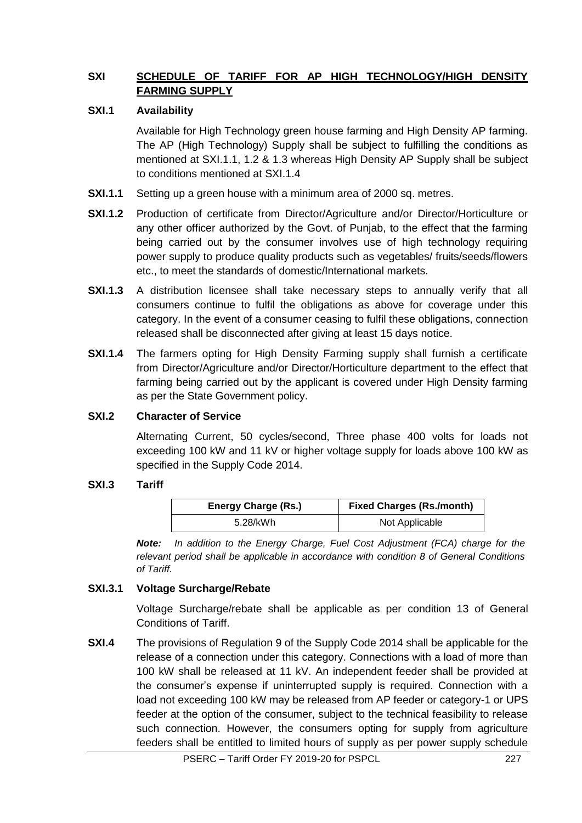# **SXI SCHEDULE OF TARIFF FOR AP HIGH TECHNOLOGY/HIGH DENSITY FARMING SUPPLY**

# **SXI.1 Availability**

Available for High Technology green house farming and High Density AP farming. The AP (High Technology) Supply shall be subject to fulfilling the conditions as mentioned at SXI.1.1, 1.2 & 1.3 whereas High Density AP Supply shall be subject to conditions mentioned at SXI.1.4

- **SXI.1.1** Setting up a green house with a minimum area of 2000 sq. metres.
- **SXI.1.2** Production of certificate from Director/Agriculture and/or Director/Horticulture or any other officer authorized by the Govt. of Punjab, to the effect that the farming being carried out by the consumer involves use of high technology requiring power supply to produce quality products such as vegetables/ fruits/seeds/flowers etc., to meet the standards of domestic/International markets.
- **SXI.1.3** A distribution licensee shall take necessary steps to annually verify that all consumers continue to fulfil the obligations as above for coverage under this category. In the event of a consumer ceasing to fulfil these obligations, connection released shall be disconnected after giving at least 15 days notice.
- **SXI.1.4** The farmers opting for High Density Farming supply shall furnish a certificate from Director/Agriculture and/or Director/Horticulture department to the effect that farming being carried out by the applicant is covered under High Density farming as per the State Government policy.

### **SXI.2 Character of Service**

Alternating Current, 50 cycles/second, Three phase 400 volts for loads not exceeding 100 kW and 11 kV or higher voltage supply for loads above 100 kW as specified in the Supply Code 2014.

### **SXI.3 Tariff**

| <b>Energy Charge (Rs.)</b> | <b>Fixed Charges (Rs./month)</b> |
|----------------------------|----------------------------------|
| 5.28/kWh                   | Not Applicable                   |

*Note: In addition to the Energy Charge, Fuel Cost Adjustment (FCA) charge for the relevant period shall be applicable in accordance with condition 8 of General Conditions of Tariff.*

### **SXI.3.1 Voltage Surcharge/Rebate**

Voltage Surcharge/rebate shall be applicable as per condition 13 of General Conditions of Tariff.

**SXI.4** The provisions of Regulation 9 of the Supply Code 2014 shall be applicable for the release of a connection under this category. Connections with a load of more than 100 kW shall be released at 11 kV. An independent feeder shall be provided at the consumer's expense if uninterrupted supply is required. Connection with a load not exceeding 100 kW may be released from AP feeder or category-1 or UPS feeder at the option of the consumer, subject to the technical feasibility to release such connection. However, the consumers opting for supply from agriculture feeders shall be entitled to limited hours of supply as per power supply schedule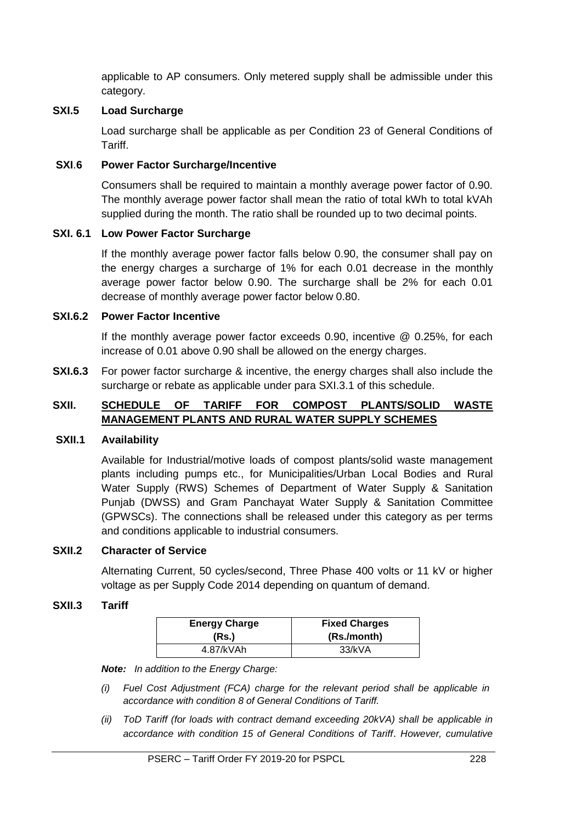applicable to AP consumers. Only metered supply shall be admissible under this category.

### **SXI.5 Load Surcharge**

Load surcharge shall be applicable as per Condition 23 of General Conditions of Tariff.

#### **SXI**.**6 Power Factor Surcharge/Incentive**

Consumers shall be required to maintain a monthly average power factor of 0.90. The monthly average power factor shall mean the ratio of total kWh to total kVAh supplied during the month. The ratio shall be rounded up to two decimal points.

#### **SXI. 6.1 Low Power Factor Surcharge**

If the monthly average power factor falls below 0.90, the consumer shall pay on the energy charges a surcharge of 1% for each 0.01 decrease in the monthly average power factor below 0.90. The surcharge shall be 2% for each 0.01 decrease of monthly average power factor below 0.80.

#### **SXI.6.2 Power Factor Incentive**

If the monthly average power factor exceeds 0.90, incentive @ 0.25%, for each increase of 0.01 above 0.90 shall be allowed on the energy charges.

**SXI.6.3** For power factor surcharge & incentive, the energy charges shall also include the surcharge or rebate as applicable under para SXI.3.1 of this schedule.

# **SXII. SCHEDULE OF TARIFF FOR COMPOST PLANTS/SOLID WASTE MANAGEMENT PLANTS AND RURAL WATER SUPPLY SCHEMES**

#### **SXII.1 Availability**

Available for Industrial/motive loads of compost plants/solid waste management plants including pumps etc., for Municipalities/Urban Local Bodies and Rural Water Supply (RWS) Schemes of Department of Water Supply & Sanitation Punjab (DWSS) and Gram Panchayat Water Supply & Sanitation Committee (GPWSCs). The connections shall be released under this category as per terms and conditions applicable to industrial consumers.

#### **SXII.2 Character of Service**

Alternating Current, 50 cycles/second, Three Phase 400 volts or 11 kV or higher voltage as per Supply Code 2014 depending on quantum of demand.

#### **SXII.3 Tariff**

| <b>Energy Charge</b> | <b>Fixed Charges</b> |
|----------------------|----------------------|
| (Rs.)                | (Rs./month)          |
| 4.87/kVAh            | 33/kVA               |

*Note: In addition to the Energy Charge:*

- *(i) Fuel Cost Adjustment (FCA) charge for the relevant period shall be applicable in accordance with condition 8 of General Conditions of Tariff.*
- *(ii) ToD Tariff (for loads with contract demand exceeding 20kVA) shall be applicable in accordance with condition 15 of General Conditions of Tariff*. *However, cumulative*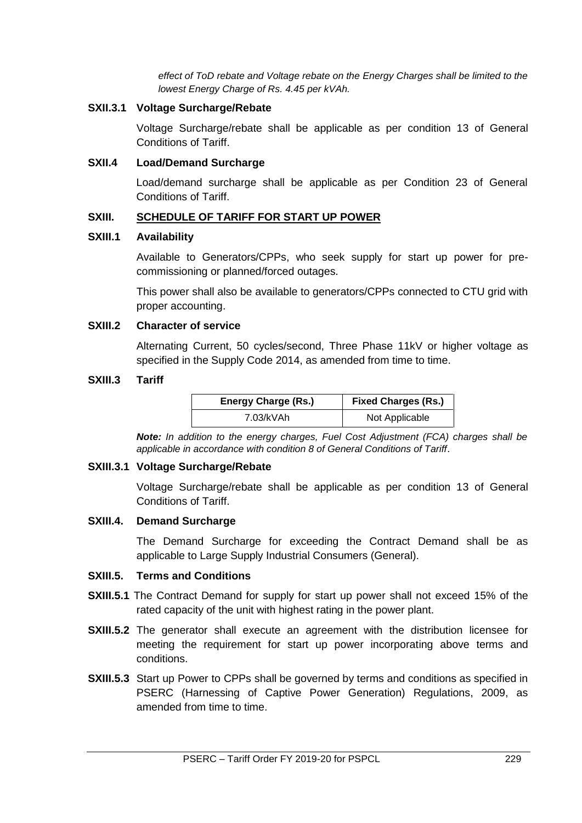*effect of ToD rebate and Voltage rebate on the Energy Charges shall be limited to the lowest Energy Charge of Rs. 4.45 per kVAh.*

#### **SXII.3.1 Voltage Surcharge/Rebate**

Voltage Surcharge/rebate shall be applicable as per condition 13 of General Conditions of Tariff.

#### **SXII.4 Load/Demand Surcharge**

Load/demand surcharge shall be applicable as per Condition 23 of General Conditions of Tariff.

#### **SXIII. SCHEDULE OF TARIFF FOR START UP POWER**

#### **SXIII.1 Availability**

Available to Generators/CPPs, who seek supply for start up power for precommissioning or planned/forced outages.

This power shall also be available to generators/CPPs connected to CTU grid with proper accounting.

#### **SXIII.2 Character of service**

Alternating Current, 50 cycles/second, Three Phase 11kV or higher voltage as specified in the Supply Code 2014, as amended from time to time.

#### **SXIII.3 Tariff**

| <b>Energy Charge (Rs.)</b> | <b>Fixed Charges (Rs.)</b> |
|----------------------------|----------------------------|
| 7.03/kVAh                  | Not Applicable             |

*Note: In addition to the energy charges, Fuel Cost Adjustment (FCA) charges shall be applicable in accordance with condition 8 of General Conditions of Tariff*.

#### **SXIII.3.1 Voltage Surcharge/Rebate**

Voltage Surcharge/rebate shall be applicable as per condition 13 of General Conditions of Tariff.

#### **SXIII.4. Demand Surcharge**

The Demand Surcharge for exceeding the Contract Demand shall be as applicable to Large Supply Industrial Consumers (General).

# **SXIII.5. Terms and Conditions**

- **SXIII.5.1** The Contract Demand for supply for start up power shall not exceed 15% of the rated capacity of the unit with highest rating in the power plant.
- **SXIII.5.2** The generator shall execute an agreement with the distribution licensee for meeting the requirement for start up power incorporating above terms and conditions.
- **SXIII.5.3** Start up Power to CPPs shall be governed by terms and conditions as specified in PSERC (Harnessing of Captive Power Generation) Regulations, 2009, as amended from time to time.